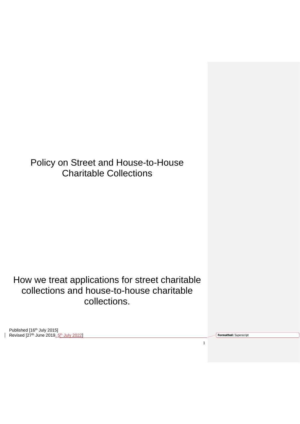Policy on Street and House-to-House Charitable Collections

How we treat applications for street charitable collections and house-to-house charitable collections.

Published [16<sup>th</sup> July 2015] Revised [27<sup>th</sup> June 2019,  $5^{th}$  July 2022] **Formatted:** Superscription and the superscription of the superscription of the superscription of the superscription of the superscription of the superscription of the superscri

1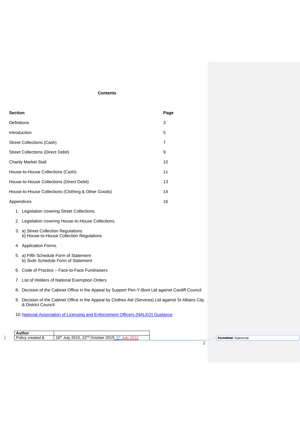### **Contents**

| <b>Section</b>                                                                                                             | Page |  |
|----------------------------------------------------------------------------------------------------------------------------|------|--|
| Definitions                                                                                                                | 3    |  |
| Introduction                                                                                                               | 5    |  |
| <b>Street Collections (Cash)</b>                                                                                           | 7    |  |
| <b>Street Collections (Direct Debit)</b>                                                                                   | 9    |  |
| <b>Charity Market Stall</b>                                                                                                | 10   |  |
| House-to-House Collections (Cash)                                                                                          | 11   |  |
| House-to-House Collections (Direct Debit)                                                                                  | 13   |  |
| House-to-House Collections (Clothing & Other Goods)                                                                        | 14   |  |
| Appendices                                                                                                                 | 16   |  |
| 1. Legislation covering Street Collections.                                                                                |      |  |
| 2. Legislation covering House-to-House Collections.                                                                        |      |  |
| 3. a) Street Collection Regulations<br>b) House-to-House Collection Regulations                                            |      |  |
| 4. Application Forms.                                                                                                      |      |  |
| 5. a) Fifth Schedule Form of Statement<br>b) Sixth Schedule Form of Statement                                              |      |  |
| 6. Code of Practice – Face-to-Face Fundraisers                                                                             |      |  |
| 7. List of Holders of National Exemption Orders                                                                            |      |  |
| 8. Decision of the Cabinet Office in the Appeal by Support Pen-Y-Bont Ltd against Cardiff Council                          |      |  |
| 9. Decision of the Cabinet Office in the Appeal by Clothes Aid (Services) Ltd against St Albans City<br>& District Council |      |  |
| 10. National Association of Licensing and Enforcement Officers (NALEO) Guidance                                            |      |  |

| Author           |                                                                                          |  |                               |
|------------------|------------------------------------------------------------------------------------------|--|-------------------------------|
| Policy created & | 22 <sub>nd</sub><br>16th<br><sup>1</sup> October 2019.<br>July 2015, 22'<br>2022<br>lulv |  | <b>Formatted:</b> Superscript |
|                  |                                                                                          |  |                               |

 $\begin{array}{c} \rule{0pt}{2ex} \rule{0pt}{2ex} \rule{0pt}{2ex} \rule{0pt}{2ex} \rule{0pt}{2ex} \rule{0pt}{2ex} \rule{0pt}{2ex} \rule{0pt}{2ex} \rule{0pt}{2ex} \rule{0pt}{2ex} \rule{0pt}{2ex} \rule{0pt}{2ex} \rule{0pt}{2ex} \rule{0pt}{2ex} \rule{0pt}{2ex} \rule{0pt}{2ex} \rule{0pt}{2ex} \rule{0pt}{2ex} \rule{0pt}{2ex} \rule{0pt}{2ex} \rule{0pt}{2ex} \rule{0pt}{2ex} \rule{0pt}{2ex} \rule{0pt}{$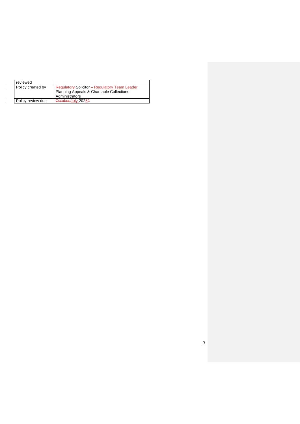| reviewed          |                                                      |
|-------------------|------------------------------------------------------|
| Policy created by | <b>Regulatory-Solicitor - Regulatory Team Leader</b> |
|                   | Planning Appeals & Charitable Collections            |
|                   | Administrators                                       |
| Policy review due | October-July 20252                                   |

 $\mathbf{I}$ 

 $\mathbf{I}$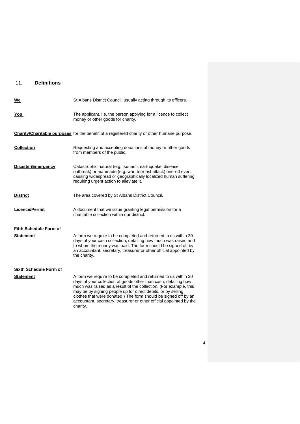# 11. **Definitions**

| We                            | St Albans District Council, usually acting through its officers.                                                                                                                                                                                                                                                                                                                                                             |
|-------------------------------|------------------------------------------------------------------------------------------------------------------------------------------------------------------------------------------------------------------------------------------------------------------------------------------------------------------------------------------------------------------------------------------------------------------------------|
| You                           | The applicant, i.e. the person applying for a licence to collect<br>money or other goods for charity.                                                                                                                                                                                                                                                                                                                        |
|                               | <b>Charity/Charitable purposes</b> for the benefit of a registered charity or other humane purpose.                                                                                                                                                                                                                                                                                                                          |
| <b>Collection</b>             | Requesting and accepting donations of money or other goods<br>from members of the public.                                                                                                                                                                                                                                                                                                                                    |
| Disaster/Emergency            | Catastrophic natural (e.g. tsunami, earthquake, disease<br>outbreak) or manmade (e.g. war, terrorist attack) one-off event<br>causing widespread or geographically localized human suffering<br>requiring urgent action to alleviate it.                                                                                                                                                                                     |
| <b>District</b>               | The area covered by St Albans District Council.                                                                                                                                                                                                                                                                                                                                                                              |
| <b>Licence/Permit</b>         | A document that we issue granting legal permission for a<br>charitable collection within our district.                                                                                                                                                                                                                                                                                                                       |
| <b>Fifth Schedule Form of</b> |                                                                                                                                                                                                                                                                                                                                                                                                                              |
| <b>Statement</b>              | A form we require to be completed and returned to us within 30<br>days of your cash collection, detailing how much was raised and<br>to whom the money was paid. The form should be signed off by<br>an accountant, secretary, treasurer or other official appointed by<br>the charity.                                                                                                                                      |
| <b>Sixth Schedule Form of</b> |                                                                                                                                                                                                                                                                                                                                                                                                                              |
| <b>Statement</b>              | A form we require to be completed and returned to us within 30<br>days of your collection of goods other than cash, detailing how<br>much was raised as a result of the collection. (For example, this<br>may be by signing people up for direct debits, or by selling<br>clothes that were donated.) The form should be signed off by an<br>accountant, secretary, treasurer or other official appointed by the<br>charity. |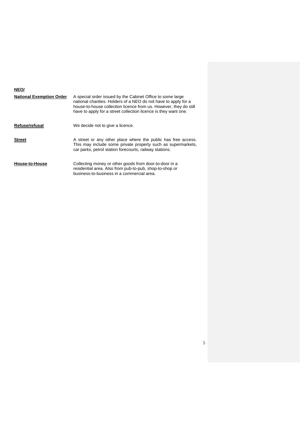| NEO/                            |                                                                                                                                                                                                                                                                       |
|---------------------------------|-----------------------------------------------------------------------------------------------------------------------------------------------------------------------------------------------------------------------------------------------------------------------|
| <b>National Exemption Order</b> | A special order issued by the Cabinet Office to some large<br>national charities. Holders of a NEO do not have to apply for a<br>house-to-house collection licence from us. However, they do still<br>have to apply for a street collection licence is they want one. |
| Refuse/refusal                  | We decide not to give a licence.                                                                                                                                                                                                                                      |
| <b>Street</b>                   | A street or any other place where the public has free access.<br>This may include some private property such as supermarkets,<br>car parks, petrol station forecourts, railway stations.                                                                              |
| House-to-House                  | Collecting money or other goods from door-to-door in a<br>residential area. Also from pub-to-pub, shop-to-shop or<br>business-to-business in a commercial area.                                                                                                       |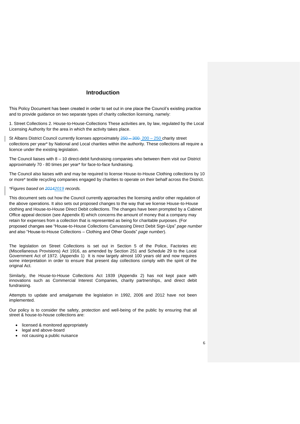# **Introduction**

This Policy Document has been created in order to set out in one place the Council's existing practice and to provide guidance on two separate types of charity collection licensing, namely:

1. Street Collections 2. House-to-House-Collections These activities are, by law, regulated by the Local Licensing Authority for the area in which the activity takes place.

St Albans District Council currently licenses approximately  $250 - 300 - 200 - 250$  charity street collections per year\* by National and Local charities within the authority. These collections all require a licence under the existing legislation.

The Council liaises with 8 – 10 direct-debit fundraising companies who between them visit our District approximately 70 - 80 times per year\* for face-to-face fundraising.

The Council also liaises with and may be required to license House-to-House Clothing collections by 10 or more\* textile recycling companies engaged by charities to operate on their behalf across the District.

#### *\*Figures based on 20142019 records.*

This document sets out how the Council currently approaches the licensing and/or other regulation of the above operations. It also sets out proposed changes to the way that we license House-to-House clothing and House-to-House Direct Debit collections. The changes have been prompted by a Cabinet Office appeal decision (see Appendix 8) which concerns the amount of money that a company may retain for expenses from a collection that is represented as being for charitable purposes. (For proposed changes see "House-to-House Collections Canvassing Direct Debit Sign-Ups" *page number* and also "House-to-House Collections – Clothing and Other Goods" *page number*).

The legislation on Street Collections is set out in Section 5 of the Police, Factories etc (Miscellaneous Provisions) Act 1916, as amended by Section 251 and Schedule 29 to the Local Government Act of 1972. (Appendix 1) It is now largely almost 100 years old and now requires some interpretation in order to ensure that present day collections comply with the spirit of the original Act.

Similarly, the House-to-House Collections Act 1939 (Appendix 2) has not kept pace with innovations such as Commercial Interest Companies, charity partnerships, and direct debit fundraising.

Attempts to update and amalgamate the legislation in 1992, 2006 and 2012 have not been implemented.

Our policy is to consider the safety, protection and well-being of the public by ensuring that all street & house-to-house collections are:

- licensed & monitored appropriately
- legal and above-board
- not causing a public nuisance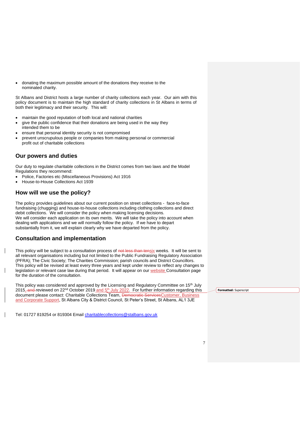• donating the maximum possible amount of the donations they receive to the nominated charity.

St Albans and District hosts a large number of charity collections each year. Our aim with this policy document is to maintain the high standard of charity collections in St Albans in terms of both their legitimacy and their security. This will:

- maintain the good reputation of both local and national charities
- give the public confidence that their donations are being used in the way they intended them to be
- ensure that personal identity security is not compromised
- prevent unscrupulous people or companies from making personal or commercial profit out of charitable collections

# **Our powers and duties**

Our duty to regulate charitable collections in the District comes from two laws and the Model Regulations they recommend:

- Police, Factories etc (Miscellaneous Provisions) Act 1916
- House-to-House Collections Act 1939

# **How will we use the policy?**

The policy provides guidelines about our current position on street collections - face-to-face fundraising (chugging) and house-to-house collections including clothing collections and direct debit collections. We will consider the policy when making licensing decisions. We will consider each application on its own merits. We will take the policy into account when dealing with applications and we will normally follow the policy. If we have to depart substantially from it, we will explain clearly why we have departed from the policy.

# **Consultation and implementation**

 $\overline{\phantom{a}}$ 

This policy will be subject to a consultation process of not less than tensix weeks. It will be sent to all relevant organisations including but not limited to the Public Fundraising Regulatory Association (PFRA); The Civic Society; The Charities Commission; parish councils and District Councillors. This policy will be revised at least every three years and kept under review to reflect any changes to legislation or relevant case law during that period. It will appear on our website Consultation page for the duration of the consultation.

This policy was considered and approved by the Licensing and Regulatory Committee on 15<sup>th</sup> July 2015, and reviewed on 22<sup>nd</sup> October 2019 and 5<sup>th</sup> July 2022. For further information regarding this document please contact: Charitable Collections Team, <del>Democratic Services</del>Customer, Business and Corporate Support, St Albans City & District Council, St Peter's Street, St Albans, AL1 3JE

Tel: 01727 819254 or 819304 Email [charitablecollections@stalbans.gov.uk](mailto:charitablecollections@stalbans.gov.uk)

**Formatted:** Superscript

7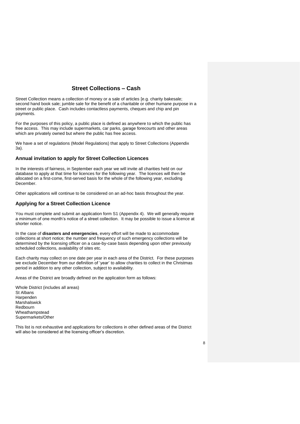# **Street Collections – Cash**

Street Collection means a collection of money or a sale of articles [e.g. charity bakesale; second hand book sale; jumble sale for the benefit of a charitable or other humane purpose in a street or public place. Cash includes contactless payments, cheques and chip and pin payments.

For the purposes of this policy, a public place is defined as anywhere to which the public has free access. This may include supermarkets, car parks, garage forecourts and other areas which are privately owned but where the public has free access.

We have a set of regulations (Model Regulations) that apply to Street Collections (Appendix 3a).

### **Annual invitation to apply for Street Collection Licences**

In the interests of fairness, in September each year we will invite all charities held on our database to apply at that time for licences for the following year. The licences will then be allocated on a first-come, first-served basis for the whole of the following year, excluding December.

Other applications will continue to be considered on an ad-hoc basis throughout the year.

### **Applying for a Street Collection Licence**

You must complete and submit an application form S1 (Appendix 4). We will generally require a minimum of one month's notice of a street collection. It may be possible to issue a licence at shorter notice.

In the case of **disasters and emergencies**, every effort will be made to accommodate collections at short notice; the number and frequency of such emergency collections will be determined by the licensing officer on a case-by-case basis depending upon other previously scheduled collections, availability of sites etc.

Each charity may collect on one date per year in each area of the District. For these purposes we exclude December from our definition of 'year' to allow charities to collect in the Christmas period in addition to any other collection, subject to availability.

Areas of the District are broadly defined on the application form as follows:

Whole District (includes all areas) St Albans Harpenden Marshalswick Redbourn Wheathampstead Supermarkets/Other

This list is not exhaustive and applications for collections in other defined areas of the District will also be considered at the licensing officer's discretion.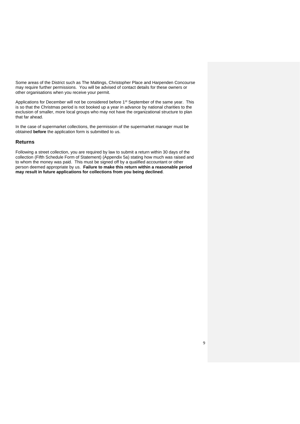Some areas of the District such as The Maltings, Christopher Place and Harpenden Concourse may require further permissions. You will be advised of contact details for these owners or other organisations when you receive your permit.

Applications for December will not be considered before 1<sup>st</sup> September of the same year. This is so that the Christmas period is not booked up a year in advance by national charities to the exclusion of smaller, more local groups who may not have the organizational structure to plan that far ahead.

In the case of supermarket collections, the permission of the supermarket manager must be obtained **before** the application form is submitted to us.

#### **Returns**

Following a street collection, you are required by law to submit a return within 30 days of the collection (Fifth Schedule Form of Statement) (Appendix 5a) stating how much was raised and to whom the money was paid. This must be signed off by a qualified accountant or other person deemed appropriate by us. **Failure to make this return within a reasonable period may result in future applications for collections from you being declined**.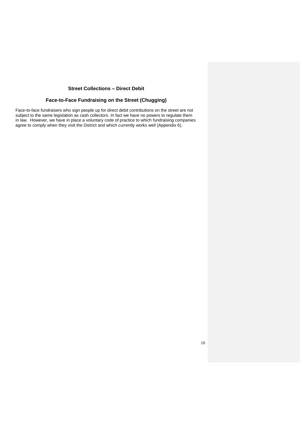# **Street Collections – Direct Debit**

# **Face-to-Face Fundraising on the Street (Chugging)**

Face-to-face fundraisers who sign people up for direct debit contributions on the street are not subject to the same legislation as cash collectors. In fact we have no powers to regulate them in law. However, we have in place a voluntary code of practice to which fundraising companies agree to comply when they visit the District and which currently works well (Appendix 6).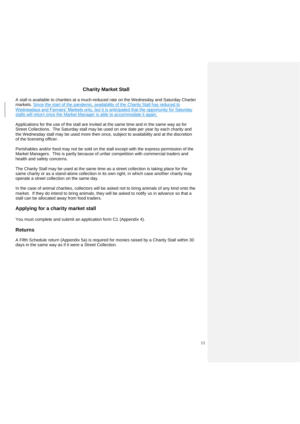### **Charity Market Stall**

A stall is available to charities at a much-reduced rate on the Wednesday and Saturday Charter markets. Since the start of the pandemic, availability of the Charity Stall has reduced to Wednesdays and Farmers' Markets only, but it is anticipated that the opportunity for Saturday stalls will return once the Market Manager is able to accommodate it again.

Applications for the use of the stall are invited at the same time and in the same way as for Street Collections. The Saturday stall may be used on one date per year by each charity and the Wednesday stall may be used more then once, subject to availability and at the discretion of the licensing officer.

Perishables and/or food may not be sold on the stall except with the express permission of the Market Managers. This is partly because of unfair competition with commercial traders and health and safety concerns.

The Charity Stall may be used at the same time as a street collection is taking place for the same charity or as a stand-alone collection in its own right, in which case another charity may operate a street collection on the same day.

In the case of animal charities, collectors will be asked not to bring animals of any kind onto the market. If they do intend to bring animals, they will be asked to notify us in advance so that a stall can be allocated away from food traders.

### **Applying for a charity market stall**

You must complete and submit an application form C1 (Appendix 4).

### **Returns**

A Fifth Schedule return (Appendix 5a) is required for monies raised by a Charity Stall within 30 days in the same way as if it were a Street Collection.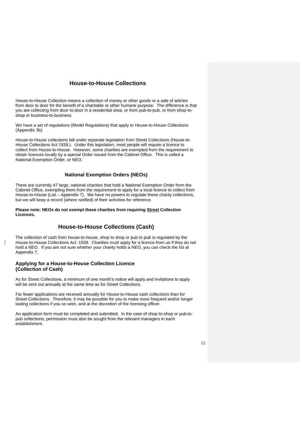# **House-to-House Collections**

House-to-House Collection means a collection of money or other goods or a sale of articles from door to door for the benefit of a charitable or other humane purpose. The difference is that you are collecting from door-to-door in a residential area, or from pub-to-pub, or from shop-toshop or business-to-business.

We have a set of regulations (Model Regulations) that apply to House-to-House Collections (Appendix 3b).

House-to-House collections fall under separate legislation from Street Collections (House-to-House Collections Act 1939.). Under this legislation, most people will require a licence to collect from House-to-House. However, some charities are exempted from the requirement to obtain licences locally by a special Order issued from the Cabinet Office. This is called a National Exemption Order, or NEO.

### **National Exemption Orders (NEOs)**

There are currently 47 large, national charities that hold a National Exemption Order from the Cabinet Office, exempting them from the requirement to apply for a local licence to collect from House-to-House (List – Appendix 7). We have no powers to regulate these charity collections, but we will keep a record (where notified) of their activities for reference.

**Please note: NEOs do not exempt these charities from requiring Street Collection Licences.**

# **House-to-House Collections (Cash)**

The collection of cash from house-to-house, shop to shop or pub to pub is regulated by the House-to-House Collections Act 1939. Charities must apply for a licence from us if they do not hold a NEO. If you are not sure whether your charity holds a NEO, you can check the list at Appendix 7.

# **Applying for a House-to-House Collection Licence (Collection of Cash)**

As for Street Collections, a minimum of one month's notice will apply and invitations to apply will be sent out annually at the same time as for Street Collections.

Far fewer applications are received annually for House-to-House cash collections than for Street Collections. Therefore, it may be possible for you to make more frequent and/or longer lasting collections if you so wish, and at the discretion of the licensing officer.

An application form must be completed and submitted. In the case of shop-to-shop or pub-topub collections, permission must also be sought from the relevant managers in each establishment.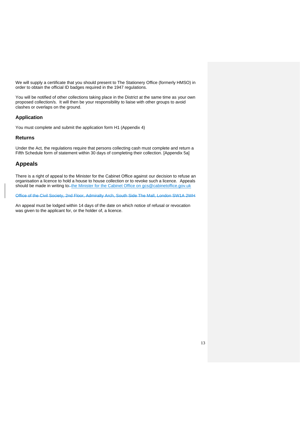We will supply a certificate that you should present to The Stationery Office (formerly HMSO) in order to obtain the official ID badges required in the 1947 regulations.

You will be notified of other collections taking place in the District at the same time as your own proposed collection/s. It will then be your responsibility to liaise with other groups to avoid clashes or overlaps on the ground.

### **Application**

You must complete and submit the application form H1 (Appendix 4)

### **Returns**

Under the Act, the regulations require that persons collecting cash must complete and return a Fifth Schedule form of statement within 30 days of completing their collection. [Appendix 5a]

### **Appeals**

There is a right of appeal to the Minister for the Cabinet Office against our decision to refuse an organisation a licence to hold a house to house collection or to revoke such a licence. Appeals should be made in writing to: the Minister for the Cabinet Office on [gcs@cabinetoffice.gov.uk](mailto:gcs@cabinetoffice.gov.uk)

Office of the Civil Society, 2nd Floor, Admiralty Arch, South Side The Mall, London SW1A 2WH

An appeal must be lodged within 14 days of the date on which notice of refusal or revocation was given to the applicant for, or the holder of, a licence.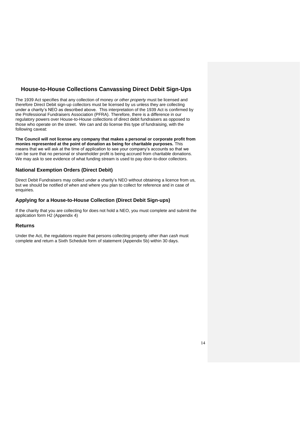# **House-to-House Collections Canvassing Direct Debit Sign-Ups**

The 1939 Act specifies that any collection of money *or other property* must be licensed and therefore Direct Debit sign-up collectors must be licensed by us unless they are collecting under a charity's NEO as described above. This interpretation of the 1939 Act is confirmed by the Professional Fundraisers Association (PFRA). Therefore, there is a difference in our regulatory powers over House-to-House collections of direct debit fundraisers as opposed to those who operate on the street. We can and do license this type of fundraising, with the following caveat:

**The Council will not license any company that makes a personal or corporate profit from monies represented at the point of donation as being for charitable purposes.** This means that we will ask at the time of application to see your company's accounts so that we can be sure that no personal or shareholder profit is being accrued from charitable donations. We may ask to see evidence of what funding stream is used to pay door-to-door collectors.

### **National Exemption Orders (Direct Debit)**

Direct Debit Fundraisers may collect under a charity's NEO without obtaining a licence from us, but we should be notified of when and where you plan to collect for reference and in case of enquiries.

# **Applying for a House-to-House Collection (Direct Debit Sign-ups)**

If the charity that you are collecting for does not hold a NEO, you must complete and submit the application form H2 (Appendix 4)

### **Returns**

Under the Act, the regulations require that persons collecting property *other than cash* must complete and return a Sixth Schedule form of statement (Appendix 5b) within 30 days.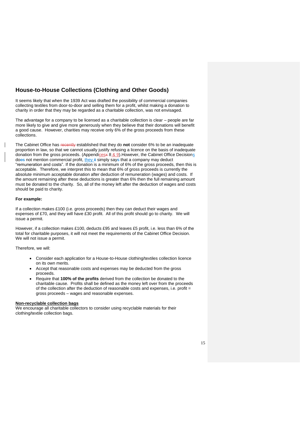# **House-to-House Collections (Clothing and Other Goods)**

It seems likely that when the 1939 Act was drafted the possibility of commercial companies collecting textiles from door-to-door and selling them for a profit, whilst making a donation to charity in order that they may be regarded as a charitable collection, was not envisaged.

The advantage for a company to be licensed as a charitable collection is clear – people are far more likely to give and give more generously when they believe that their donations will benefit a good cause. However, charities may receive only 6% of the gross proceeds from these collections.

The Cabinet Office has recently established that they do **not** consider 6% to be an inadequate proportion in law, so that we cannot usually justify refusing a licence on the basis of inadequate donation from the gross proceeds. (Appendices x  $8_4$  & 9). However, the Cabinet Office Decisions does not mention commercial profit, they it simply says that a company may deduct "remuneration and costs". If the donation is a minimum of 6% of the gross proceeds, then this is acceptable. Therefore, we interpret this to mean that 6% of gross proceeds is currently the absolute minimum acceptable donation after deduction of remuneration (wages) and costs. If the amount remaining after these deductions is greater than 6% then the full remaining amount must be donated to the charity. So, all of the money left after the deduction of wages and costs should be paid to charity.

#### **For example:**

If a collection makes £100 (i.e. gross proceeds) then they can deduct their wages and expenses of £70, and they will have £30 profit. All of this profit should go to charity. We will issue a permit.

However, if a collection makes £100, deducts £95 and leaves £5 profit, i.e. less than 6% of the total for charitable purposes, it will not meet the requirements of the Cabinet Office Decision. We will not issue a permit.

Therefore, we will:

- Consider each application for a House-to-House clothing/textiles collection licence on its own merits.
- Accept that reasonable costs and expenses may be deducted from the gross proceeds.
- Require that **100% of the profits** derived from the collection be donated to the charitable cause. Profits shall be defined as the money left over from the proceeds of the collection after the deduction of reasonable costs and expenses, i.e. profit = gross proceeds – wages and reasonable expenses.

### **Non-recyclable collection bags**

We encourage all charitable collectors to consider using recyclable materials for their clothing/textile collection bags.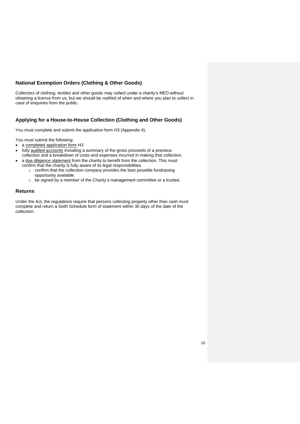# **National Exemption Orders (Clothing & Other Goods)**

Collectors of clothing, textiles and other goods may collect under a charity's NEO without obtaining a licence from us, but we should be notified of when and where you plan to collect in case of enquiries from the public.

# **Applying for a House-to-House Collection (Clothing and Other Goods)**

You must complete and submit the application form H3 (Appendix 4).

You must submit the following:

- a completed application form H3
- fully audited accounts including a summary of the gross proceeds of a previous collection and a breakdown of costs and expenses incurred in making that collection.
- a due diligence statement from the charity to benefit from the collection. This must: confirm that the charity is fully aware of its legal responsibilities.
	- o confirm that the collection company provides the best possible fundraising opportunity available.
	- o be signed by a member of the Charity's management committee or a trustee.

### **Returns**

Under the Act, the regulations require that persons collecting property other than cash must complete and return a Sixth Schedule form of statement within 30 days of the date of the collection.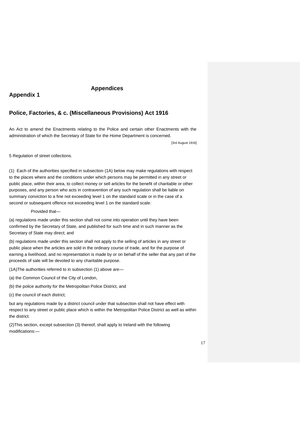### **Appendices**

# **Appendix 1**

# **Police, Factories, & c. (Miscellaneous Provisions) Act 1916**

An Act to amend the Enactments relating to the Police and certain other Enactments with the administration of which the Secretary of State for the Home Department is concerned.

[3rd August 1916]

5 Regulation of street collections.

(1) Each of the authorities specified in subsection (1A) below may make regulations with respect to the places where and the conditions under which persons may be permitted in any street or public place, within their area, to collect money or sell articles for the benefit of charitable or other purposes, and any person who acts in contravention of any such regulation shall be liable on summary conviction to a fine not exceeding level 1 on the standard scale or in the case of a second or subsequent offence not exceeding level 1 on the standard scale:

Provided that—

(a) regulations made under this section shall not come into operation until they have been confirmed by the Secretary of State, and published for such time and in such manner as the Secretary of State may direct; and

(b) regulations made under this section shall not apply to the selling of articles in any street or public place when the articles are sold in the ordinary course of trade, and for the purpose of earning a livelihood, and no representation is made by or on behalf of the seller that any part of the proceeds of sale will be devoted to any charitable purpose.

(1A)The authorities referred to in subsection (1) above are—

(a) the Common Council of the City of London,

(b) the police authority for the Metropolitan Police District, and

(c) the council of each district;

but any regulations made by a district council under that subsection shall not have effect with respect to any street or public place which is within the Metropolitan Police District as well as within the district.

(2)This section, except subsection (3) thereof, shall apply to Ireland with the following modifications:—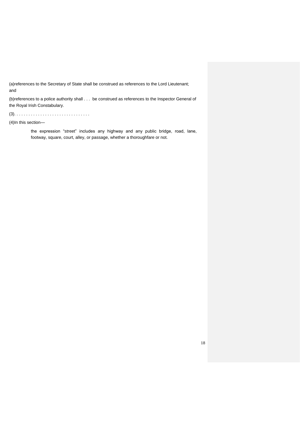(a)references to the Secretary of State shall be construed as references to the Lord Lieutenant; and

(b)references to a police authority shall . . . be construed as references to the Inspector General of the Royal Irish Constabulary.

(3). . . . . . . . . . . . . . . . . . . . . . . . . . . . . . . .

(4)In this section—

the expression "street" includes any highway and any public bridge, road, lane, footway, square, court, alley, or passage, whether a thoroughfare or not.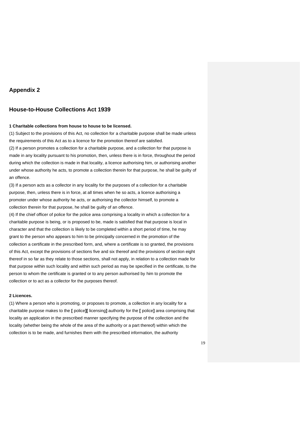### **Appendix 2**

# **House-to-House Collections Act 1939**

#### **1 Charitable collections from house to house to be licensed.**

(1) Subject to the provisions of this Act, no collection for a charitable purpose shall be made unless the requirements of this Act as to a licence for the promotion thereof are satisfied.

(2) If a person promotes a collection for a charitable purpose, and a collection for that purpose is made in any locality pursuant to his promotion, then, unless there is in force, throughout the period during which the collection is made in that locality, a licence authorising him, or authorising another under whose authority he acts, to promote a collection therein for that purpose, he shall be guilty of an offence.

(3) If a person acts as a collector in any locality for the purposes of a collection for a charitable purpose, then, unless there is in force, at all times when he so acts, a licence authorising a promoter under whose authority he acts, or authorising the collector himself, to promote a collection therein for that purpose, he shall be guilty of an offence.

(4) If the chief officer of police for the police area comprising a locality in which a collection for a charitable purpose is being, or is proposed to be, made is satisfied that that purpose is local in character and that the collection is likely to be completed within a short period of time, he may grant to the person who appears to him to be principally concerned in the promotion of the collection a certificate in the prescribed form, and, where a certificate is so granted, the provisions of this Act, except the provisions of sections five and six thereof and the provisions of section eight thereof in so far as they relate to those sections, shall not apply, in relation to a collection made for that purpose within such locality and within such period as may be specified in the certificate, to the person to whom the certificate is granted or to any person authorised by him to promote the collection or to act as a collector for the purposes thereof.

#### **2 Licences.**

(1) Where a person who is promoting, or proposes to promote, a collection in any locality for a charitable purpose makes to the **[** police**][** licensing**]** authority for the **[** police**]** area comprising that locality an application in the prescribed manner specifying the purpose of the collection and the locality (whether being the whole of the area of the authority or a part thereof) within which the collection is to be made, and furnishes them with the prescribed information, the authority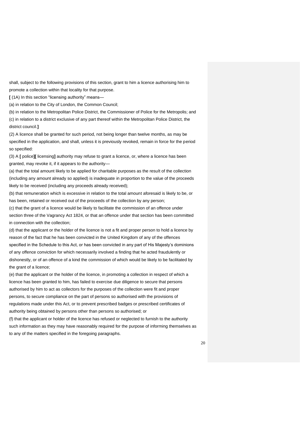shall, subject to the following provisions of this section, grant to him a licence authorising him to promote a collection within that locality for that purpose.

**[** (1A) In this section "licensing authority" means—

(a) in relation to the City of London, the Common Council;

(b) in relation to the Metropolitan Police District, the Commissioner of Police for the Metropolis; and (c) in relation to a district exclusive of any part thereof within the Metropolitan Police District, the district council.**]**

(2) A licence shall be granted for such period, not being longer than twelve months, as may be specified in the application, and shall, unless it is previously revoked, remain in force for the period so specified:

(3) A **[** police**][** licensing**]** authority may refuse to grant a licence, or, where a licence has been granted, may revoke it, if it appears to the authority—

(a) that the total amount likely to be applied for charitable purposes as the result of the collection (including any amount already so applied) is inadequate in proportion to the value of the proceeds likely to be received (including any proceeds already received);

(b) that remuneration which is excessive in relation to the total amount aforesaid is likely to be, or has been, retained or received out of the proceeds of the collection by any person;

(c) that the grant of a licence would be likely to facilitate the commission of an offence under section three of the Vagrancy Act 1824, or that an offence under that section has been committed in connection with the collection;

(d) that the applicant or the holder of the licence is not a fit and proper person to hold a licence by reason of the fact that he has been convicted in the United Kingdom of any of the offences specified in the Schedule to this Act, or has been convicted in any part of His Majesty's dominions of any offence conviction for which necessarily involved a finding that he acted fraudulently or dishonestly, or of an offence of a kind the commission of which would be likely to be facilitated by the grant of a licence;

(e) that the applicant or the holder of the licence, in promoting a collection in respect of which a licence has been granted to him, has failed to exercise due diligence to secure that persons authorised by him to act as collectors for the purposes of the collection were fit and proper persons, to secure compliance on the part of persons so authorised with the provisions of regulations made under this Act, or to prevent prescribed badges or prescribed certificates of authority being obtained by persons other than persons so authorised; or (f) that the applicant or holder of the licence has refused or neglected to furnish to the authority such information as they may have reasonably required for the purpose of informing themselves as to any of the matters specified in the foregoing paragraphs.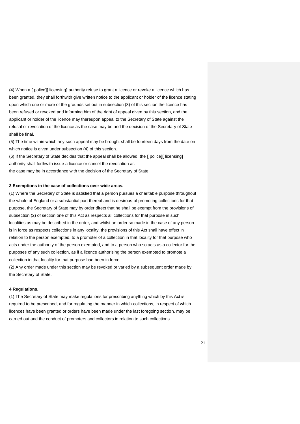(4) When a **[** police**][** licensing**]** authority refuse to grant a licence or revoke a licence which has been granted, they shall forthwith give written notice to the applicant or holder of the licence stating upon which one or more of the grounds set out in subsection (3) of this section the licence has been refused or revoked and informing him of the right of appeal given by this section, and the applicant or holder of the licence may thereupon appeal to the Secretary of State against the refusal or revocation of the licence as the case may be and the decision of the Secretary of State shall be final.

(5) The time within which any such appeal may be brought shall be fourteen days from the date on which notice is given under subsection (4) of this section.

(6) If the Secretary of State decides that the appeal shall be allowed, the **[** police**][** licensing**]**  authority shall forthwith issue a licence or cancel the revocation as the case may be in accordance with the decision of the Secretary of State.

### **3 Exemptions in the case of collections over wide areas.**

(1) Where the Secretary of State is satisfied that a person pursues a charitable purpose throughout the whole of England or a substantial part thereof and is desirous of promoting collections for that purpose, the Secretary of State may by order direct that he shall be exempt from the provisions of subsection (2) of section one of this Act as respects all collections for that purpose in such localities as may be described in the order, and whilst an order so made in the case of any person is in force as respects collections in any locality, the provisions of this Act shall have effect in relation to the person exempted, to a promoter of a collection in that locality for that purpose who acts under the authority of the person exempted, and to a person who so acts as a collector for the purposes of any such collection, as if a licence authorising the person exempted to promote a collection in that locality for that purpose had been in force.

(2) Any order made under this section may be revoked or varied by a subsequent order made by the Secretary of State.

### **4 Regulations.**

(1) The Secretary of State may make regulations for prescribing anything which by this Act is required to be prescribed, and for regulating the manner in which collections, in respect of which licences have been granted or orders have been made under the last foregoing section, may be carried out and the conduct of promoters and collectors in relation to such collections.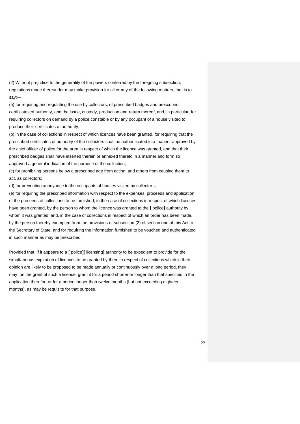(2) Without prejudice to the generality of the powers conferred by the foregoing subsection, regulations made thereunder may make provision for all or any of the following matters, that is to say:—

(a) for requiring and regulating the use by collectors, of prescribed badges and prescribed certificates of authority, and the issue, custody, production and return thereof, and, in particular, for requiring collectors on demand by a police constable or by any occupant of a house visited to produce their certificates of authority;

(b) in the case of collections in respect of which licences have been granted, for requiring that the prescribed certificates of authority of the collectors shall be authenticated in a manner approved by the chief officer of police for the area in respect of which the licence was granted, and that their prescribed badges shall have inserted therein or annexed thereto in a manner and form so approved a general indication of the purpose of the collection;

(c) for prohibiting persons below a prescribed age from acting, and others from causing them to act, as collectors;

(d) for preventing annoyance to the occupants of houses visited by collectors;

(e) for requiring the prescribed information with respect to the expenses, proceeds and application of the proceeds of collections to be furnished, in the case of collections in respect of which licences have been granted, by the person to whom the licence was granted to the **[** police**]** authority by whom it was granted, and, in the case of collections in respect of which an order has been made, by the person thereby exempted from the provisions of subsection (2) of section one of this Act to the Secretary of State, and for requiring the information furnished to be vouched and authenticated in such manner as may be prescribed.

Provided that, if it appears to a **[** police**][** licensing**]** authority to be expedient to provide for the simultaneous expiration of licences to be granted by them in respect of collections which in their opinion are likely to be proposed to be made annually or continuously over a long period, they may, on the grant of such a licence, grant it for a period shorter or longer than that specified in the application therefor, or for a period longer than twelve months (but not exceeding eighteen months), as may be requisite for that purpose.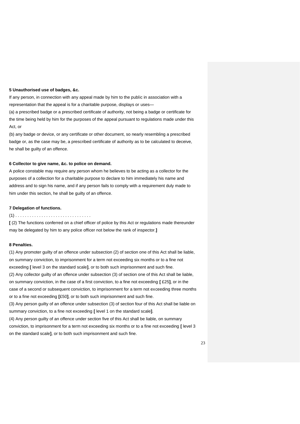#### **5 Unauthorised use of badges, &c.**

If any person, in connection with any appeal made by him to the public in association with a representation that the appeal is for a charitable purpose, displays or uses—

(a) a prescribed badge or a prescribed certificate of authority, not being a badge or certificate for the time being held by him for the purposes of the appeal pursuant to regulations made under this Act, or

(b) any badge or device, or any certificate or other document, so nearly resembling a prescribed badge or, as the case may be, a prescribed certificate of authority as to be calculated to deceive, he shall be guilty of an offence.

#### **6 Collector to give name, &c. to police on demand.**

A police constable may require any person whom he believes to be acting as a collector for the purposes of a collection for a charitable purpose to declare to him immediately his name and address and to sign his name, and if any person fails to comply with a requirement duly made to him under this section, he shall be guilty of an offence.

#### **7 Delegation of functions.**

#### (1) . . . . . . . . . . . . . . . . . . . . . . . . . . . . . . . .

**[** (2) The functions conferred on a chief officer of police by this Act or regulations made thereunder may be delegated by him to any police officer not below the rank of inspector.**]**

### **8 Penalties.**

(1) Any promoter guilty of an offence under subsection (2) of section one of this Act shall be liable, on summary conviction, to imprisonment for a term not exceeding six months or to a fine not exceeding **[** level 3 on the standard scale**]**, or to both such imprisonment and such fine. (2) Any collector guilty of an offence under subsection (3) of section one of this Act shall be liable, on summary conviction, in the case of a first conviction, to a fine not exceeding **[** £25**]**, or in the case of a second or subsequent conviction, to imprisonment for a term not exceeding three months or to a fine not exceeding **[**£50**]**, or to both such imprisonment and such fine. (3) Any person guilty of an offence under subsection (3) of section four of this Act shall be liable on summary conviction, to a fine not exceeding **[** level 1 on the standard scale**]**. (4) Any person guilty of an offence under section five of this Act shall be liable, on summary conviction, to imprisonment for a term not exceeding six months or to a fine not exceeding **[** level 3 on the standard scale**]**, or to both such imprisonment and such fine.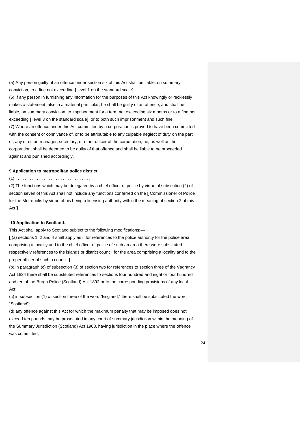(5) Any person guilty of an offence under section six of this Act shall be liable, on summary conviction, to a fine not exceeding **[** level 1 on the standard scale**]**. (6) If any person in furnishing any information for the purposes of this Act knowingly or recklessly makes a statement false in a material particular, he shall be guilty of an offence, and shall be liable, on summary conviction, to imprisonment for a term not exceeding six months or to a fine not exceeding **[** level 3 on the standard scale**]**, or to both such imprisonment and such fine. (7) Where an offence under this Act committed by a corporation is proved to have been committed with the consent or connivance of, or to be attributable to any culpable neglect of duty on the part of, any director, manager, secretary, or other officer of the corporation, he, as well as the corporation, shall be deemed to be guilty of that offence and shall be liable to be proceeded against and punished accordingly.

#### **9 Application to metropolitan police district.**

#### (1) . . . . . . . . . . . . . . . . . . . . . . . . . . . . . . . .

(2) The functions which may be delegated by a chief officer of police by virtue of subsection (2) of section seven of this Act shall not include any functions conferred on the **[** Commissioner of Police for the Metropolis by virtue of his being a licensing authority within the meaning of section 2 of this Act.**]**

#### **10 Application to Scotland.**

This Act shall apply to Scotland subject to the following modifications:—

**[** (a) sections 1, 2 and 4 shall apply as if for references to the police authority for the police area comprising a locality and to the chief officer of police of such an area there were substituted respectively references to the islands or district council for the area comprising a locality and to the proper officer of such a council;**]**

(b) in paragraph (c) of subsection (3) of section two for references to section three of the Vagrancy Act 1824 there shall be substituted references to sections four hundred and eight or four hundred and ten of the Burgh Police (Scotland) Act 1892 or to the corresponding provisions of any local Act;

(c) in subsection (1) of section three of the word "England," there shall be substituted the word "Scotland";

(d) any offence against this Act for which the maximum penalty that may be imposed does not exceed ten pounds may be prosecuted in any court of summary jurisdiction within the meaning of the Summary Jurisdiction (Scotland) Act 1908, having jurisdiction in the place where the offence was committed;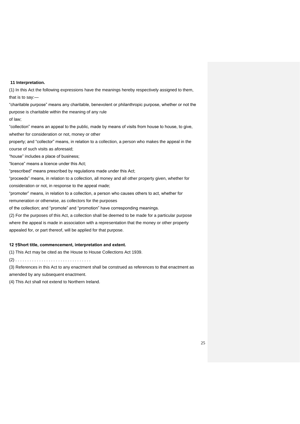#### **11 Interpretation.**

(1) In this Act the following expressions have the meanings hereby respectively assigned to them, that is to say:—

"charitable purpose" means any charitable, benevolent or philanthropic purpose, whether or not the purpose is charitable within the meaning of any rule

of law;

"collection" means an appeal to the public, made by means of visits from house to house, to give, whether for consideration or not, money or other

property; and "collector" means, in relation to a collection, a person who makes the appeal in the course of such visits as aforesaid;

"house" includes a place of business;

"licence" means a licence under this Act;

"prescribed" means prescribed by regulations made under this Act;

"proceeds" means, in relation to a collection, all money and all other property given, whether for consideration or not, in response to the appeal made;

"promoter" means, in relation to a collection, a person who causes others to act, whether for

remuneration or otherwise, as collectors for the purposes

of the collection; and "promote" and "promotion" have corresponding meanings.

(2) For the purposes of this Act, a collection shall be deemed to be made for a particular purpose where the appeal is made in association with a representation that the money or other property appealed for, or part thereof, will be applied for that purpose.

### **12 †Short title, commencement, interpretation and extent.**

(1) This Act may be cited as the House to House Collections Act 1939.

(2) . . . . . . . . . . . . . . . . . . . . . . . . . . . . . . . .

(3) References in this Act to any enactment shall be construed as references to that enactment as

amended by any subsequent enactment.

(4) This Act shall not extend to Northern Ireland.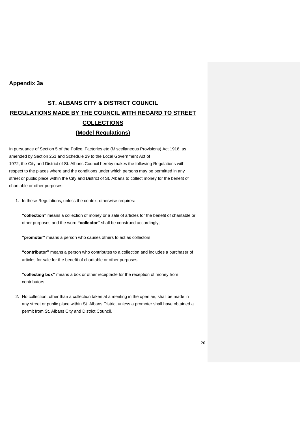### **Appendix 3a**

# **ST. ALBANS CITY & DISTRICT COUNCIL REGULATIONS MADE BY THE COUNCIL WITH REGARD TO STREET COLLECTIONS (Model Regulations)**

In pursuance of Section 5 of the Police, Factories etc (Miscellaneous Provisions) Act 1916, as amended by Section 251 and Schedule 29 to the Local Government Act of 1972, the City and District of St. Albans Council hereby makes the following Regulations with respect to the places where and the conditions under which persons may be permitted in any street or public place within the City and District of St. Albans to collect money for the benefit of charitable or other purposes:-

1. In these Regulations, unless the context otherwise requires:

**"collection"** means a collection of money or a sale of articles for the benefit of charitable or other purposes and the word **"collector"** shall be construed accordingly;

**"promoter"** means a person who causes others to act as collectors;

**"contributor"** means a person who contributes to a collection and includes a purchaser of articles for sale for the benefit of charitable or other purposes;

**"collecting box"** means a box or other receptacle for the reception of money from contributors.

2. No collection, other than a collection taken at a meeting in the open air, shall be made in any street or public place within St. Albans District unless a promoter shall have obtained a permit from St. Albans City and District Council.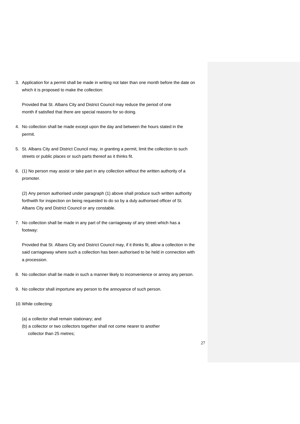3. Application for a permit shall be made in writing not later than one month before the date on which it is proposed to make the collection:

Provided that St. Albans City and District Council may reduce the period of one month if satisfied that there are special reasons for so doing.

- 4. No collection shall be made except upon the day and between the hours stated in the permit.
- 5. St. Albans City and District Council may, in granting a permit, limit the collection to such streets or public places or such parts thereof as it thinks fit.
- 6. (1) No person may assist or take part in any collection without the written authority of a promoter.

(2) Any person authorised under paragraph (1) above shall produce such written authority forthwith for inspection on being requested to do so by a duly authorised officer of St. Albans City and District Council or any constable.

7. No collection shall be made in any part of the carriageway of any street which has a footway:

Provided that St. Albans City and District Council may, if it thinks fit, allow a collection in the said carriageway where such a collection has been authorised to be held in connection with a procession.

- 8. No collection shall be made in such a manner likely to inconvenience or annoy any person.
- 9. No collector shall importune any person to the annoyance of such person.
- 10.While collecting:
	- (a) a collector shall remain stationary; and
	- (b) a collector or two collectors together shall not come nearer to another collector than 25 metres;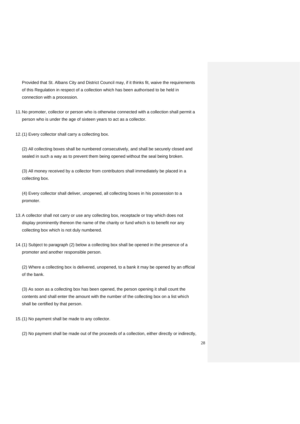Provided that St. Albans City and District Council may, if it thinks fit, waive the requirements of this Regulation in respect of a collection which has been authorised to be held in connection with a procession.

- 11.No promoter, collector or person who is otherwise connected with a collection shall permit a person who is under the age of sixteen years to act as a collector.
- 12.(1) Every collector shall carry a collecting box.

(2) All collecting boxes shall be numbered consecutively, and shall be securely closed and sealed in such a way as to prevent them being opened without the seal being broken.

(3) All money received by a collector from contributors shall immediately be placed in a collecting box.

(4) Every collector shall deliver, unopened, all collecting boxes in his possession to a promoter.

- 13.A collector shall not carry or use any collecting box, receptacle or tray which does not display prominently thereon the name of the charity or fund which is to benefit nor any collecting box which is not duly numbered.
- 14.(1) Subject to paragraph (2) below a collecting box shall be opened in the presence of a promoter and another responsible person.

(2) Where a collecting box is delivered, unopened, to a bank it may be opened by an official of the bank.

(3) As soon as a collecting box has been opened, the person opening it shall count the contents and shall enter the amount with the number of the collecting box on a list which shall be certified by that person.

- 15.(1) No payment shall be made to any collector.
	- (2) No payment shall be made out of the proceeds of a collection, either directly or indirectly,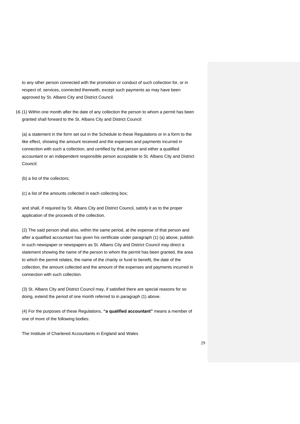to any other person connected with the promotion or conduct of such collection for, or in respect of, services, connected therewith, except such payments as may have been approved by St. Albans City and District Council.

16.(1) Within one month after the date of any collection the person to whom a permit has been granted shall forward to the St. Albans City and District Council:

(a) a statement in the form set out in the Schedule to these Regulations or in a form to the like effect, showing the amount received and the expenses and payments incurred in connection with such a collection, and certified by that person and either a qualified accountant or an independent responsible person acceptable to St. Albans City and District Council;

(b) a list of the collectors;

(c) a list of the amounts collected in each collecting box;

and shall, if required by St. Albans City and District Council, satisfy it as to the proper application of the proceeds of the collection.

(2) The said person shall also, within the same period, at the expense of that person and after a qualified accountant has given his certificate under paragraph (1) (a) above, publish in such newspaper or newspapers as St. Albans City and District Council may direct a statement showing the name of the person to whom the permit has been granted, the area to which the permit relates, the name of the charity or fund to benefit, the date of the collection, the amount collected and the amount of the expenses and payments incurred in connection with such collection.

(3) St. Albans City and District Council may, if satisfied there are special reasons for so doing, extend the period of one month referred to in paragraph (1) above.

(4) For the purposes of these Regulations, **"a qualified accountant"** means a member of one of more of the following bodies:

The Institute of Chartered Accountants in England and Wales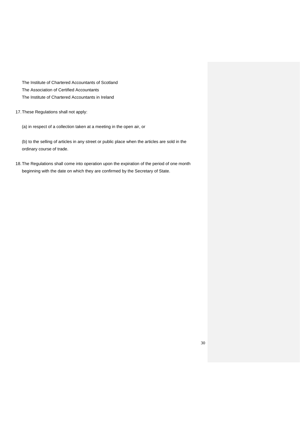The Institute of Chartered Accountants of Scotland The Association of Certified Accountants The Institute of Chartered Accountants in Ireland

- 17.These Regulations shall not apply:
	- (a) in respect of a collection taken at a meeting in the open air, or

(b) to the selling of articles in any street or public place when the articles are sold in the ordinary course of trade.

18.The Regulations shall come into operation upon the expiration of the period of one month beginning with the date on which they are confirmed by the Secretary of State.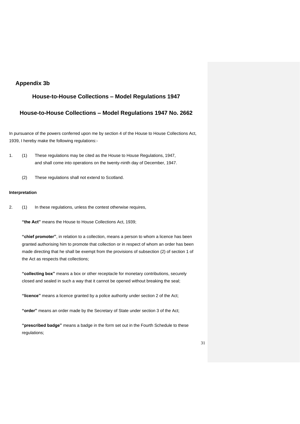# **Appendix 3b**

# **House-to-House Collections – Model Regulations 1947**

# **House-to-House Collections – Model Regulations 1947 No. 2662**

In pursuance of the powers conferred upon me by section 4 of the House to House Collections Act, 1939, I hereby make the following regulations:-

- 1. (1) These regulations may be cited as the House to House Regulations, 1947, and shall come into operations on the twenty-ninth day of December, 1947.
	- (2) These regulations shall not extend to Scotland.

### **Interpretation**

2. (1) In these regulations, unless the contest otherwise requires,

**"the Act"** means the House to House Collections Act, 1939;

**"chief promoter"**, in relation to a collection, means a person to whom a licence has been granted authorising him to promote that collection or in respect of whom an order has been made directing that he shall be exempt from the provisions of subsection (2) of section 1 of the Act as respects that collections;

**"collecting box"** means a box or other receptacle for monetary contributions, securely closed and sealed in such a way that it cannot be opened without breaking the seal;

**"licence"** means a licence granted by a police authority under section 2 of the Act;

**"order"** means an order made by the Secretary of State under section 3 of the Act;

**"prescribed badge"** means a badge in the form set out in the Fourth Schedule to these regulations;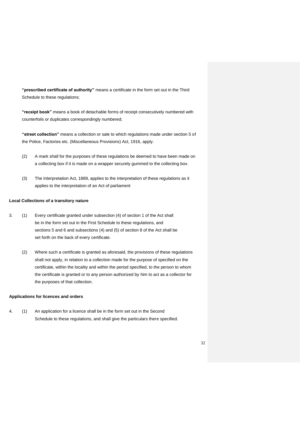**"prescribed certificate of authority"** means a certificate in the form set out in the Third Schedule to these regulations;

**"receipt book"** means a book of detachable forms of receipt consecutively numbered with counterfoils or duplicates correspondingly numbered;

**"street collection"** means a collection or sale to which regulations made under section 5 of the Police, Factories etc. (Miscellaneous Provisions) Act, 1916, apply.

- (2) A mark shall for the purposes of these regulations be deemed to have been made on a collecting box if it is made on a wrapper securely gummed to the collecting box.
- (3) The Interpretation Act, 1889, applies to the interpretation of these regulations as it applies to the interpretation of an Act of parliament

#### **Local Collections of a transitory nature**

- 3. (1) Every certificate granted under subsection (4) of section 1 of the Act shall be in the form set out in the First Schedule to these regulations, and sections 5 and 6 and subsections (4) and (5) of section 8 of the Act shall be set forth on the back of every certificate.
	- (2) Where such a certificate is granted as aforesaid, the provisions of these regulations shall not apply, in relation to a collection made for the purpose of specified on the certificate, within the locality and within the period specified, to the person to whom the certificate is granted or to any person authorized by him to act as a collector for the purposes of that collection.

#### **Applications for licences and orders**

4. (1) An application for a licence shall be in the form set out in the Second Schedule to these regulations, and shall give the particulars there specified.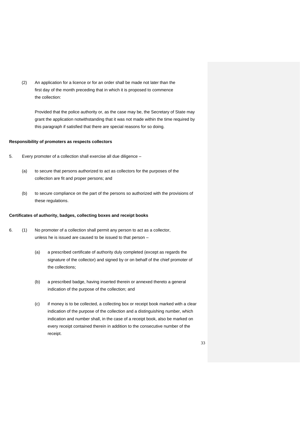(2) An application for a licence or for an order shall be made not later than the first day of the month preceding that in which it is proposed to commence the collection:

Provided that the police authority or, as the case may be, the Secretary of State may grant the application notwithstanding that it was not made within the time required by this paragraph if satisfied that there are special reasons for so doing.

### **Responsibility of promoters as respects collectors**

- 5. Every promoter of a collection shall exercise all due diligence
	- (a) to secure that persons authorized to act as collectors for the purposes of the collection are fit and proper persons; and
	- (b) to secure compliance on the part of the persons so authorized with the provisions of these regulations.

#### **Certificates of authority, badges, collecting boxes and receipt books**

- 6. (1) No promoter of a collection shall permit any person to act as a collector, unless he is issued are caused to be issued to that person –
	- (a) a prescribed certificate of authority duly completed (except as regards the signature of the collector) and signed by or on behalf of the chief promoter of the collections;
	- (b) a prescribed badge, having inserted therein or annexed thereto a general indication of the purpose of the collection; and
	- (c) if money is to be collected, a collecting box or receipt book marked with a clear indication of the purpose of the collection and a distinguishing number, which indication and number shall, in the case of a receipt book, also be marked on every receipt contained therein in addition to the consecutive number of the receipt.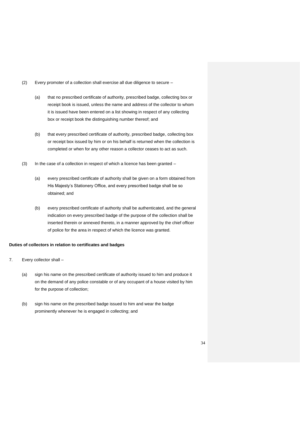- (2) Every promoter of a collection shall exercise all due diligence to secure
	- (a) that no prescribed certificate of authority, prescribed badge, collecting box or receipt book is issued, unless the name and address of the collector to whom it is issued have been entered on a list showing in respect of any collecting box or receipt book the distinguishing number thereof; and
	- (b) that every prescribed certificate of authority, prescribed badge, collecting box or receipt box issued by him or on his behalf is returned when the collection is completed or when for any other reason a collector ceases to act as such.
- (3) In the case of a collection in respect of which a licence has been granted
	- (a) every prescribed certificate of authority shall be given on a form obtained from His Majesty's Stationery Office, and every prescribed badge shall be so obtained; and
	- (b) every prescribed certificate of authority shall be authenticated, and the general indication on every prescribed badge of the purpose of the collection shall be inserted therein or annexed thereto, in a manner approved by the chief officer of police for the area in respect of which the licence was granted.

### **Duties of collectors in relation to certificates and badges**

- 7. Every collector shall
	- (a) sign his name on the prescribed certificate of authority issued to him and produce it on the demand of any police constable or of any occupant of a house visited by him for the purpose of collection;
	- (b) sign his name on the prescribed badge issued to him and wear the badge prominently whenever he is engaged in collecting; and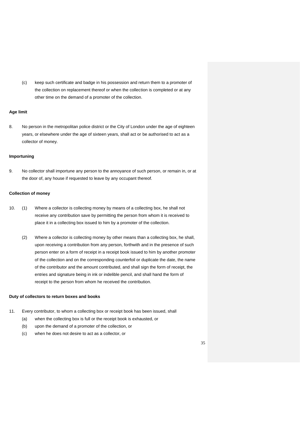(c) keep such certificate and badge in his possession and return them to a promoter of the collection on replacement thereof or when the collection is completed or at any other time on the demand of a promoter of the collection.

#### **Age limit**

8. No person in the metropolitan police district or the City of London under the age of eighteen years, or elsewhere under the age of sixteen years, shall act or be authorised to act as a collector of money.

### **Importuning**

9. No collector shall importune any person to the annoyance of such person, or remain in, or at the door of, any house if requested to leave by any occupant thereof.

#### **Collection of money**

- 10. (1) Where a collector is collecting money by means of a collecting box, he shall not receive any contribution save by permitting the person from whom it is received to place it in a collecting box issued to him by a promoter of the collection.
	- (2) Where a collector is collecting money by other means than a collecting box, he shall, upon receiving a contribution from any person, forthwith and in the presence of such person enter on a form of receipt in a receipt book issued to him by another promoter of the collection and on the corresponding counterfoil or duplicate the date, the name of the contributor and the amount contributed, and shall sign the form of receipt, the entries and signature being in ink or indelible pencil, and shall hand the form of receipt to the person from whom he received the contribution.

#### **Duty of collectors to return boxes and books**

- 11. Every contributor, to whom a collecting box or receipt book has been issued, shall
	- (a) when the collecting box is full or the receipt book is exhausted, or
	- (b) upon the demand of a promoter of the collection, or
	- (c) when he does not desire to act as a collector, or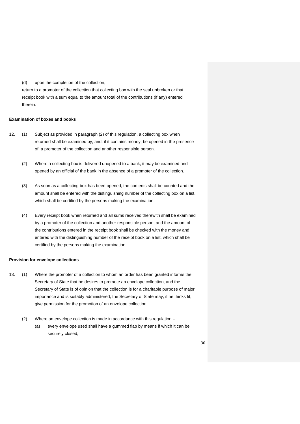(d) upon the completion of the collection,

return to a promoter of the collection that collecting box with the seal unbroken or that receipt book with a sum equal to the amount total of the contributions (if any) entered therein.

### **Examination of boxes and books**

- 12. (1) Subject as provided in paragraph (2) of this regulation, a collecting box when returned shall be examined by, and, if it contains money, be opened in the presence of, a promoter of the collection and another responsible person.
	- (2) Where a collecting box is delivered unopened to a bank, it may be examined and opened by an official of the bank in the absence of a promoter of the collection.
	- (3) As soon as a collecting box has been opened, the contents shall be counted and the amount shall be entered with the distinguishing number of the collecting box on a list, which shall be certified by the persons making the examination.
	- (4) Every receipt book when returned and all sums received therewith shall be examined by a promoter of the collection and another responsible person, and the amount of the contributions entered in the receipt book shall be checked with the money and entered with the distinguishing number of the receipt book on a list, which shall be certified by the persons making the examination.

#### **Provision for envelope collections**

- 13. (1) Where the promoter of a collection to whom an order has been granted informs the Secretary of State that he desires to promote an envelope collection, and the Secretary of State is of opinion that the collection is for a charitable purpose of major importance and is suitably administered, the Secretary of State may, if he thinks fit, give permission for the promotion of an envelope collection.
	- (2) Where an envelope collection is made in accordance with this regulation
		- (a) every envelope used shall have a gummed flap by means if which it can be securely closed;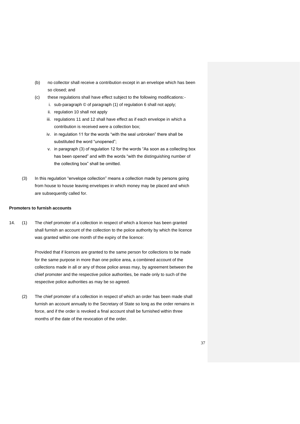- (b) no collector shall receive a contribution except in an envelope which has been so closed; and
- (c) these regulations shall have effect subject to the following modifications:
	- i. sub-paragraph © of paragraph (1) of regulation 6 shall not apply;
	- ii. regulation 10 shall not apply
	- iii. regulations 11 and 12 shall have effect as if each envelope in which a contribution is received were a collection box;
	- iv. in regulation 11 for the words "with the seal unbroken" there shall be substituted the word "unopened";
	- v. in paragraph (3) of regulation 12 for the words "As soon as a collecting box has been opened" and with the words "with the distinguishing number of the collecting box" shall be omitted.
- (3) In this regulation "envelope collection" means a collection made by persons going from house to house leaving envelopes in which money may be placed and which are subsequently called for.

## **Promoters to furnish accounts**

14. (1) The chief promoter of a collection in respect of which a licence has been granted shall furnish an account of the collection to the police authority by which the licence was granted within one month of the expiry of the licence:

> Provided that if licences are granted to the same person for collections to be made for the same purpose in more than one police area, a combined account of the collections made in all or any of those police areas may, by agreement between the chief promoter and the respective police authorities, be made only to such of the respective police authorities as may be so agreed.

(2) The chief promoter of a collection in respect of which an order has been made shall furnish an account annually to the Secretary of State so long as the order remains in force, and if the order is revoked a final account shall be furnished within three months of the date of the revocation of the order.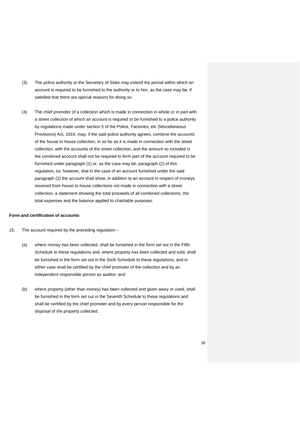- (3) The police authority or the Secretary of State may extend the period within which an account is required to be furnished to the authority or to him, as the case may be, if satisfied that there are special reasons for doing so.
- (4) The chief promoter of a collection which is made in connection in whole or in part with a street collection of which an account is required to be furnished to a police authority by regulations made under section 5 of the Police, Factories, etc (Miscellaneous Provisions) Act, 1916, may, if the said police authority agrees, combine the accounts of the house to house collection, in so far as it is made in connection with the street collection, with the accounts of the street collection, and the amount so included in the combined account shall not be required to form part of the account required to be furnished under paragraph (1) or, as the case may be, paragraph (2) of this regulation, so, however, that in the case of an account furnished under the said paragraph (2) the account shall show, in addition to an account in respect of moneys received from house to house collections not made in connection with a street collection, a statement showing the total proceeds of all combined collections, the total expenses and the balance applied to charitable purposes.

## **Form and certification of accounts**

- 15. The account required by the preceding regulation
	- (a) where money has been collected, shall be furnished in the form set out in the Fifth Schedule to these regulations and, where property has been collected and sold, shall be furnished in the form set out in the Sixth Schedule to these regulations, and in either case shall be certified by the chief promoter of the collection and by an independent responsible person as auditor; and
	- (b) where property (other than money) has been collected and given away or used, shall be furnished in the form set out in the Seventh Schedule to these regulations and shall be certified by the chief promoter and by every person responsible for the disposal of the property collected.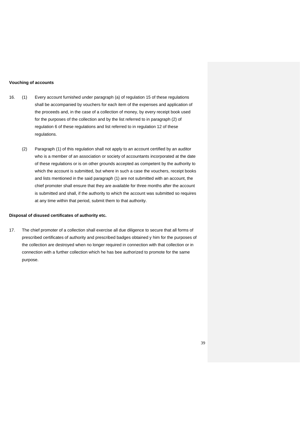### **Vouching of accounts**

- 16. (1) Every account furnished under paragraph (a) of regulation 15 of these regulations shall be accompanied by vouchers for each item of the expenses and application of the proceeds and, in the case of a collection of money, by every receipt book used for the purposes of the collection and by the list referred to in paragraph (2) of regulation 6 of these regulations and list referred to in regulation 12 of these regulations.
	- (2) Paragraph (1) of this regulation shall not apply to an account certified by an auditor who is a member of an association or society of accountants incorporated at the date of these regulations or is on other grounds accepted as competent by the authority to which the account is submitted, but where in such a case the vouchers, receipt books and lists mentioned in the said paragraph (1) are not submitted with an account, the chief promoter shall ensure that they are available for three months after the account is submitted and shall, if the authority to which the account was submitted so requires at any time within that period, submit them to that authority.

### **Disposal of disused certificates of authority etc.**

17. The chief promoter of a collection shall exercise all due diligence to secure that all forms of prescribed certificates of authority and prescribed badges obtained y him for the purposes of the collection are destroyed when no longer required in connection with that collection or in connection with a further collection which he has bee authorized to promote for the same purpose.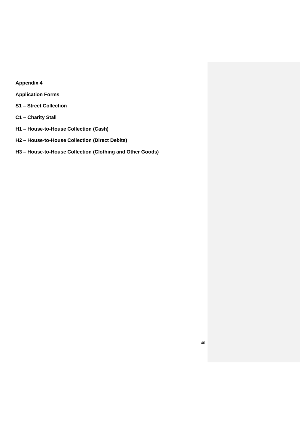# **Appendix 4**

- **Application Forms**
- **S1 – Street Collection**
- **C1 – Charity Stall**
- **H1 – House-to-House Collection (Cash)**
- **H2 – House-to-House Collection (Direct Debits)**
- **H3 – House-to-House Collection (Clothing and Other Goods)**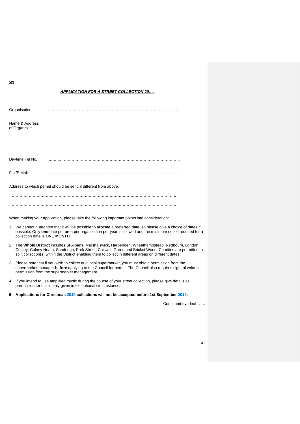### *APPLICATION FOR A STREET COLLECTION 20….*

| Organisation:                                                    |  |  |
|------------------------------------------------------------------|--|--|
| Name & Address<br>of Organiser:                                  |  |  |
|                                                                  |  |  |
|                                                                  |  |  |
| Daytime Tel No.                                                  |  |  |
| Fax/E.Mail:                                                      |  |  |
| Address to which permit should be sent, if different from above: |  |  |
|                                                                  |  |  |

When making your application, please take the following important points into consideration:

1. We cannot guarantee that it will be possible to allocate a preferred date, so please give a choice of dates if possible. Only **one** date per area per organization per year is allowed and the minimum notice required for a collection date is **ONE MONTH**.

………………………………………….…………………………………………………………………….

- 2. The **Whole District** includes St Albans, Marshalswick, Harpenden, Wheathampstead, Redbourn, London Colney, Colney Heath, Sandridge, Park Street, Chiswell Green and Bricket Wood. Charities are permitted to split collection(s) within the District enabling them to collect in different areas on different dates.
- 3. Please note that if you wish to collect at a local supermarket, you must obtain permission from the supermarket manager **before** applying to the Council for permit. The Council also requires sight of written permission from the supermarket management.
- 4. If you intend to use amplified music during the course of your street collection, please give details as permission for this is only given in exceptional circumstances.
- **5. Applications for Christmas 2019 collections will not be accepted before 1st September 2019.**

Continued overleaf…….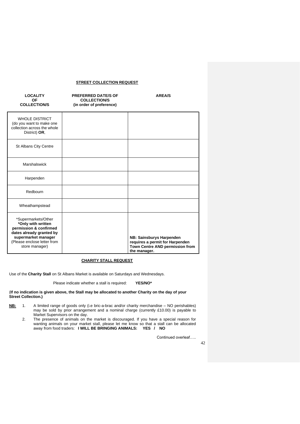## **STREET COLLECTION REQUEST**

| LOCALITY            |
|---------------------|
| ΟF                  |
| <b>COLLECTION/S</b> |

**PREFERRED DATE/S OF COLLECTION/S (in order of preference)**

**AREA/S**

| <b>WHOLE DISTRICT</b><br>(do you want to make one<br>collection across the whole<br>District) OR,                                                                       |                                                                                                                |
|-------------------------------------------------------------------------------------------------------------------------------------------------------------------------|----------------------------------------------------------------------------------------------------------------|
| <b>St Albans City Centre</b>                                                                                                                                            |                                                                                                                |
| Marshalswick                                                                                                                                                            |                                                                                                                |
| Harpenden                                                                                                                                                               |                                                                                                                |
| Redbourn                                                                                                                                                                |                                                                                                                |
| Wheathampstead                                                                                                                                                          |                                                                                                                |
| *Supermarkets/Other<br>*Only with written<br>permission & confirmed<br>dates already granted by<br>supermarket manager<br>(Please enclose letter from<br>store manager) | NB: Sainsburys Harpenden<br>requires a permit for Harpenden<br>Town Centre AND permission from<br>the manager. |

### **CHARITY STALL REQUEST**

Use of the **Charity Stall** on St Albans Market is available on Saturdays and Wednesdays.

Please indicate whether a stall is required: **YES/NO\***

(**If no indication is given above, the Stall may be allocated to another Charity on the day of your Street Collection.)**

- **NB:** 1. A limited range of goods only (i.e bric-a-brac and/or charity merchandise NO perishables) may be sold by prior arrangement and a nominal charge (currently £10.00) is payable to Market Supervisors on the day.
	- 2. The presence of animals on the market is discouraged. If you have a special reason for wanting animals on your market stall, please let me know so that a stall can be allocated away from food traders: **I WILL BE BRINGING ANIMALS: YES / NO**

Continued overleaf…..

42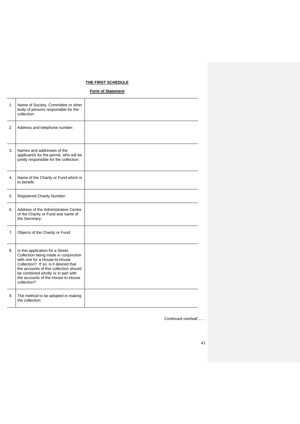# **THE FIRST SCHEDULE**

# **Form of Statement**

| 1. | Name of Society, Committee or other<br>body of persons responsible for the<br>collection:                                                                                                                                                                                               |  |
|----|-----------------------------------------------------------------------------------------------------------------------------------------------------------------------------------------------------------------------------------------------------------------------------------------|--|
| 2. | Address and telephone number:                                                                                                                                                                                                                                                           |  |
| 3. | Names and addresses of the<br>applicant/s for the permit, who will be<br>jointly responsible for the collection:                                                                                                                                                                        |  |
| 4. | Name of the Charity or Fund which is<br>to benefit:                                                                                                                                                                                                                                     |  |
| 5. | Registered Charity Number:                                                                                                                                                                                                                                                              |  |
| 6. | Address of the Administrative Centre<br>of the Charity or Fund and name of<br>the Secretary:                                                                                                                                                                                            |  |
| 7. | Objects of the Charity or Fund:                                                                                                                                                                                                                                                         |  |
| 8. | Is this application for a Street<br>Collection being made in conjunction<br>with one for a House-to-House<br>Collection? If so, is it desired that<br>the accounts of this collection should<br>be combined wholly or in part with<br>the accounts of the House-to-House<br>collection? |  |
| 9. | The method to be adopted in making<br>the collection:                                                                                                                                                                                                                                   |  |

Continued overleaf……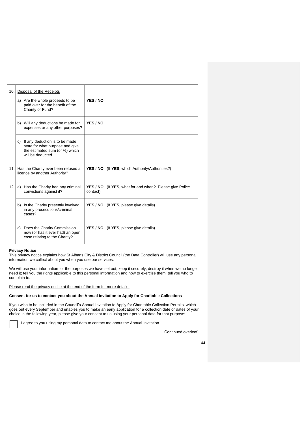| 10. | Disposal of the Receipts<br>a) Are the whole proceeds to be<br>paid over for the benefit of the<br>Charity or Fund?          | YES / NO                                                                      |
|-----|------------------------------------------------------------------------------------------------------------------------------|-------------------------------------------------------------------------------|
|     | b) Will any deductions be made for<br>expenses or any other purposes?                                                        | YES / NO                                                                      |
|     | c) If any deduction is to be made,<br>state for what purpose and give<br>the estimated sum (or %) which<br>will be deducted. |                                                                               |
|     | 11.   Has the Charity ever been refused a<br>licence by another Authority?                                                   | <b>YES / NO</b> (If <b>YES</b> , which Authority/Authorities?)                |
| 12. | a) Has the Charity had any criminal<br>convictions against it?                                                               | <b>YES / NO</b><br>(If YES, what for and when? Please give Police<br>contact) |
|     | b) Is the Charity presently involved<br>in any prosecutions/criminal<br>cases?                                               | <b>YES / NO</b> (If <b>YES</b> , please give details)                         |
|     | c) Does the Charity Commission<br>now (or has it ever had) an open<br>case relating to the Charity?                          | <b>YES / NO</b> (If <b>YES</b> , please give details)                         |

### **Privacy Notice**

This privacy notice explains how St Albans City & District Council (the Data Controller) will use any personal information we collect about you when you use our services.

We will use your information for the purposes we have set out; keep it securely; destroy it when we no longer need it; tell you the rights applicable to this personal information and how to exercise them; tell you who to complain to.

Please read the privacy notice at the end of the form for more details.

### **Consent for us to contact you about the Annual Invitation to Apply for Charitable Collections**

If you wish to be included in the Council's Annual Invitation to Apply for Charitable Collection Permits, which goes out every September and enables you to make an early application for a collection date or dates of your choice in the following year, please give your consent to us using your personal data for that purpose:

I agree to you using my personal data to contact me about the Annual Invitation

Continued overleaf……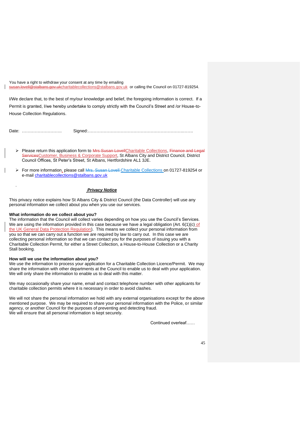You have a right to withdraw your consent at any time by emailing bans.gov.u[kcharitablecollections@stalbans.gov.uk](mailto:susan.lovell@stalbans.gov.uk) or calling the Council on 01727-819254.

I/We declare that, to the best of my/our knowledge and belief, the foregoing information is correct. If a Permit is granted, I/we hereby undertake to comply strictly with the Council's Street and /or House-to-House Collection Regulations.

.

Date: ………………………. Signed:………………………………………………………….…….

- ➢ Please return this application form to Mrs Susan LovellCharitable Collections, Finance and Legal ServicesCustomer, Business & Corporate Support, St Albans City and District Council, District Council Offices, St Peter's Street, St Albans, Hertfordshire AL1 3JE.
- ➢ For more information, please call Mrs. Susan Lovell Charitable Collections on 01727-819254 or e-mail [charitablecollections@stalbans.gov.uk](mailto:charitablecollections@stalbans.gov.uk)

# *Privacy Notice*

This privacy notice explains how St Albans City & District Council (the Data Controller) will use any personal information we collect about you when you use our services.

### **What information do we collect about you?**

The information that the Council will collect varies depending on how you use the Council's Services. We are using the information provided in this case because we have a legal obligation (Art. 6(1)(c) of the UK General Data Protection Regulation). This means we collect your personal information from you so that we can carry out a function we are required by law to carry out. In this case we are collecting personal information so that we can contact you for the purposes of issuing you with a Charitable Collection Permit, for either a Street Collection, a House-to-House Collection or a Charity Stall booking.

## **How will we use the information about you?**

We use the information to process your application for a Charitable Collection Licence/Permit. We may share the information with other departments at the Council to enable us to deal with your application. We will only share the information to enable us to deal with this matter.

We may occasionally share your name, email and contact telephone number with other applicants for charitable collection permits where it is necessary in order to avoid clashes.

We will not share the personal information we hold with any external organisations except for the above mentioned purpose. We may be required to share your personal information with the Police, or similar agency, or another Council for the purposes of preventing and detecting fraud. We will ensure that all personal information is kept securely.

Continued overleaf……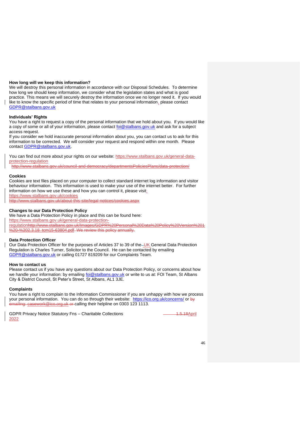### **How long will we keep this information?**

We will destroy this personal information in accordance with our Disposal Schedules. To determine how long we should keep information, we consider what the legislation states and what is good practice. This means we will securely destroy the information once we no longer need it. If you would like to know the specific period of time that relates to your personal information, please contact [GDPR@stalbans.gov.uk](mailto:GDPR@stalbans.gov.uk)

### **Individuals' Rights**

You have a right to request a copy of the personal information that we hold about you. If you would like a copy of some or all of your information, please contact [foi@stalbans.gov.uk](mailto:foi@stalbans.gov.uk) and ask for a subject access request.

If you consider we hold inaccurate personal information about you, you can contact us to ask for this information to be corrected. We will consider your request and respond within one month. Please contact [GDPR@stalbans.gov.uk.](mailto:GDPR@stalbans.gov.uk)

You can find out more about your rights on our website: [https://www.stalbans.gov.uk/general-data](https://www.stalbans.gov.uk/general-data-protection-regulation)[protection-regulation](https://www.stalbans.gov.uk/general-data-protection-regulation)

http://www.stalbans.gov.uk/council-and-democracy/departmentsPoliciesPlans/data-protection/

#### **Cookies**

Cookies are text files placed on your computer to collect standard internet log information and visitor behaviour information. This information is used to make your use of the internet better. For further information on how we use these and how you can control it, please visit: <https://www.stalbans.gov.uk/cookies>

http://www.stalbans.gov.uk/about-this-site/legal-notices/cookies.aspx

#### **Changes to our Data Protection Policy**

We have a Data Protection Policy in place and this can be found here: https://www.stalbans.gov.uk/general-data-protectionregulationhttp://www.stalbans.gov.uk/Images/GDPR% %20-%202.3.18\_tcm15-63804.pdf We review this policy annually.

### **Data Protection Officer**

Our Data Protection Officer for the purposes of Articles 37 to 39 of the-UK General Data Protection Regulation is Charles Turner, Solicitor to the Council. He can be contacted by emailing [GDPR@stalbans.gov.uk](mailto:GDPR@stalbans.gov.uk) or calling 01727 819209 for our Complaints Team.

### **How to contact us**

Please contact us if you have any questions about our Data Protection Policy, or concerns about how we handle your information: by emailing [foi@stalbans.gov.uk](mailto:foi@stalbans.gov.uk) or write to us at: FOI Team, St Albans City & District Council, St Peter's Street, St Albans, AL1 3JE.

#### **Complaints**

You have a right to complain to the Information Commissioner if you are unhappy with how we process your personal information. You can do so through their website: <https://ico.org.uk/concerns/> or by asework@ico.org.uk or calling their helpline on 0303 123 1113.

GDPR Privacy Notice Statutory Fns – Charitable Collections 1.5.18April 2022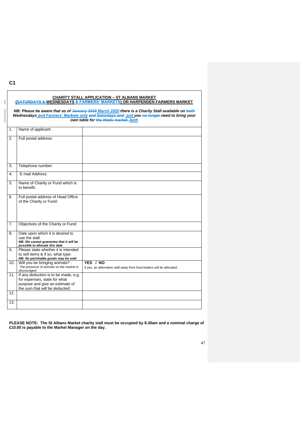**C1**

|                | <b>CHARITY STALL APPLICATION - ST ALBANS MARKET</b><br><b>(SATURDAYS &amp; WEDNESDAYS &amp; FARMERS' MARKETS) OR HARPENDEN FARMERS MARKET</b>                                                                                           |                                                                                    |  |
|----------------|-----------------------------------------------------------------------------------------------------------------------------------------------------------------------------------------------------------------------------------------|------------------------------------------------------------------------------------|--|
|                | NB: Please be aware that as of January 2015 March 2020 there is a Charity Stall available on both<br>Wednesdays and Farmers' Markets only and Saturdays and and you no longer need to bring your<br>own table for the Weds market. both |                                                                                    |  |
| 1.             | Name of applicant:                                                                                                                                                                                                                      |                                                                                    |  |
| 2.             | Full postal address:                                                                                                                                                                                                                    |                                                                                    |  |
| 3.             | Telephone number:                                                                                                                                                                                                                       |                                                                                    |  |
| 4.             | E-mail Address:                                                                                                                                                                                                                         |                                                                                    |  |
| 5.             | Name of Charity or Fund which is<br>to benefit:                                                                                                                                                                                         |                                                                                    |  |
| 6.             | Full postal address of Head Office<br>of the Charity or Fund:                                                                                                                                                                           |                                                                                    |  |
| 7 <sub>1</sub> | Objectives of the Charity or Fund:                                                                                                                                                                                                      |                                                                                    |  |
| 8.             | Date upon which it is desired to<br>use the stall:<br>NB: We cannot guarantee that it will be<br>possible to allocate this date                                                                                                         |                                                                                    |  |
| 9.             | Please state whether it is intended<br>to sell items & if so, what type:<br>NB: No perishable goods may be sold                                                                                                                         |                                                                                    |  |
| 10.            | Will you be bringing animals? :<br>The presence of animals on the market is<br>discouraged.                                                                                                                                             | YES / NO<br>If yes, an alternative stall away from food traders will be allocated. |  |
| 11.            | If any deduction is to be made, e.g.<br>for expenses, state for what<br>purpose and give an estimate of<br>the sum that will be deducted:                                                                                               |                                                                                    |  |
| 12.            |                                                                                                                                                                                                                                         |                                                                                    |  |
| 13.            |                                                                                                                                                                                                                                         |                                                                                    |  |

**PLEASE NOTE: The St Albans Market charity stall must be occupied by 8.30am and a nominal charge of £10.00 is payable to the Market Manager on the day.**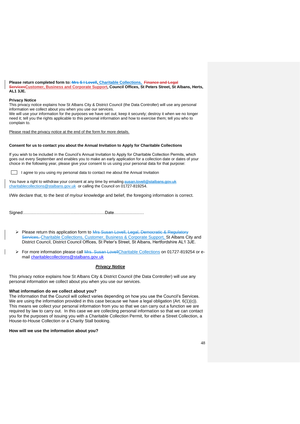**Please return completed form to: Mrs S I Lovell, Charitable Collections, Finance and Legal ServicesCustomer, Business and Corporate Support, Council Offices, St Peters Street, St Albans, Herts, AL1 3JE.**

#### **Privacy Notice**

This privacy notice explains how St Albans City & District Council (the Data Controller) will use any personal information we collect about you when you use our services.

We will use your information for the purposes we have set out; keep it securely; destroy it when we no longer need it; tell you the rights applicable to this personal information and how to exercise them; tell you who to complain to.

Please read the privacy notice at the end of the form for more details.

### **Consent for us to contact you about the Annual Invitation to Apply for Charitable Collections**

If you wish to be included in the Council's Annual Invitation to Apply for Charitable Collection Permits, which goes out every September and enables you to make an early application for a collection date or dates of your choice in the following year, please give your consent to us using your personal data for that purpose:

I agree to you using my personal data to contact me about the Annual Invitation

You have a right to withdraw your consent at any time by emailing-susan.lovell@stalbans.gov.uk charitablecollections@stalbans.gov.uk or calling the Council on 01727-819254.

I/We declare that, to the best of my/our knowledge and belief, the foregoing information is correct.

Signed:…………………………………………………Date…………………

- ➢ Please return this application form to Mrs Susan Lovell, Legal, Democratic & Regulatory Services, Charitable Collections, Customer, Business & Corporate Support, St Albans City and District Council, District Council Offices, St Peter's Street, St Albans, Hertfordshire AL1 3JE.
- ➢ For more information please call Mrs. Susan LovellCharitable Collections on 01727-819254 or email [charitablecollections@stalbans.gov.uk](mailto:charitablecollections@stalbans.gov.uk)

### *Privacy Notice*

This privacy notice explains how St Albans City & District Council (the Data Controller) will use any personal information we collect about you when you use our services.

### **What information do we collect about you?**

The information that the Council will collect varies depending on how you use the Council's Services. We are using the information provided in this case because we have a legal obligation (Art.  $6(1)(c)$ ). This means we collect your personal information from you so that we can carry out a function we are required by law to carry out. In this case we are collecting personal information so that we can contact you for the purposes of issuing you with a Charitable Collection Permit, for either a Street Collection, a House-to-House Collection or a Charity Stall booking.

## **How will we use the information about you?**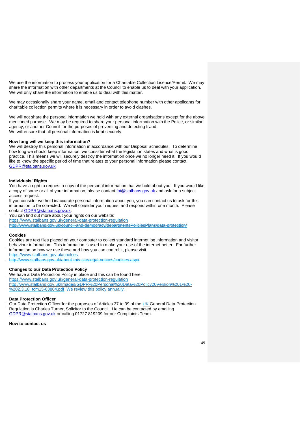We use the information to process your application for a Charitable Collection Licence/Permit. We may share the information with other departments at the Council to enable us to deal with your application. We will only share the information to enable us to deal with this matter.

We may occasionally share your name, email and contact telephone number with other applicants for charitable collection permits where it is necessary in order to avoid clashes.

We will not share the personal information we hold with any external organisations except for the above mentioned purpose. We may be required to share your personal information with the Police, or similar agency, or another Council for the purposes of preventing and detecting fraud. We will ensure that all personal information is kept securely.

### **How long will we keep this information?**

We will destroy this personal information in accordance with our Disposal Schedules. To determine how long we should keep information, we consider what the legislation states and what is good practice. This means we will securely destroy the information once we no longer need it. If you would like to know the specific period of time that relates to your personal information please contact [GDPR@stalbans.gov.uk](mailto:GDPR@stalbans.gov.uk)

### **Individuals' Rights**

You have a right to request a copy of the personal information that we hold about you. If you would like a copy of some or all of your information, please contact [foi@stalbans.gov.uk](mailto:foi@stalbans.gov.uk) and ask for a subject access request.

If you consider we hold inaccurate personal information about you, you can contact us to ask for this information to be corrected. We will consider your request and respond within one month. Please contact [GDPR@stalbans.gov.uk.](mailto:GDPR@stalbans.gov.uk)

You can find out more about your rights on our website:

<https://www.stalbans.gov.uk/general-data-protection-regulation> http://www.stalbans.gov.uk/council-and-democracy/departmentsPoliciesPlans/data-protection/

### **Cookies**

Cookies are text files placed on your computer to collect standard internet log information and visitor behaviour information. This information is used to make your use of the internet better. For further information on how we use these and how you can control it, please visit <https://www.stalbans.gov.uk/cookies>

http://www.stalbans.gov.uk/about-this-site/legal-notices/cookies.aspx

### **Changes to our Data Protection Policy**

We have a Data Protection Policy in place and this can be found here: <https://www.stalbans.gov.uk/general-data-protection-regulation> http://www.stalbans.gov.uk/Images/GDPR%20Personal%20Data%20Policy20Version%201%20- %202.3.18\_tcm15-63804.pdf We review this policy annually.

### **Data Protection Officer**

Our Data Protection Officer for the purposes of Articles 37 to 39 of the UK General Data Protection Regulation is Charles Turner, Solicitor to the Council. He can be contacted by emailing [GDPR@stalbans.gov.uk](mailto:GDPR@stalbans.gov.uk) or calling 01727 819209 for our Complaints Team.

**How to contact us**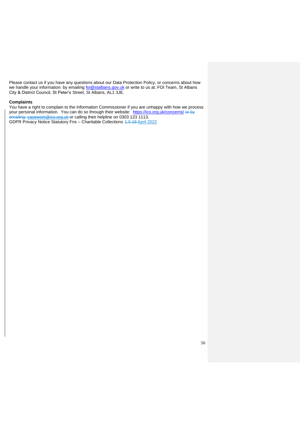Please contact us if you have any questions about our Data Protection Policy, or concerns about how we handle your information: by emailing <u>foi@stalbans.gov.uk</u> or write to us at: FOI Team, St Albans City & District Council, St Peter's Street, St Albans, AL1 3JE.

### **Complaints**

You have a right to complain to the Information Commissioner if you are unhappy with how we process your personal information. You can do so through their website: <https://ico.org.uk/concerns/> or by emailing: casework@ico.org.uk or calling their helpline on 0303 123 1113. GDPR Privacy Notice Statutory Fns – Charitable Collections 1.5.18 April 2022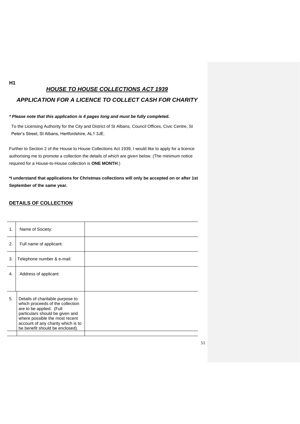# *HOUSE TO HOUSE COLLECTIONS ACT 1939*

# *APPLICATION FOR A LICENCE TO COLLECT CASH FOR CHARITY*

# *\* Please note that this application is 4 pages long and must be fully completed.*

To the Licensing Authority for the City and District of St Albans, Council Offices, Civic Centre, St Peter's Street, St Albans, Hertfordshire, AL1 3JE.

Further to Section 2 of the House to House Collections Act 1939, I would like to apply for a licence authorising me to promote a collection the details of which are given below. (The minimum notice required for a House-to-House collection is **ONE MONTH**.)

**\*I understand that applications for Christmas collections will only be accepted on or after 1st September of the same year.**

# **DETAILS OF COLLECTION**

| 1. | Name of Society:                                                                                                                                                                                                                               |  |
|----|------------------------------------------------------------------------------------------------------------------------------------------------------------------------------------------------------------------------------------------------|--|
| 2. | Full name of applicant:                                                                                                                                                                                                                        |  |
| 3. | Telephone number & e-mail:                                                                                                                                                                                                                     |  |
| 4. | Address of applicant:                                                                                                                                                                                                                          |  |
| 5. | Details of charitable purpose to<br>which proceeds of the collection<br>are to be applied. (Full<br>particulars should be given and<br>where possible the most recent<br>account of any charity which is to<br>be benefit should be enclosed). |  |
|    |                                                                                                                                                                                                                                                |  |

**H1**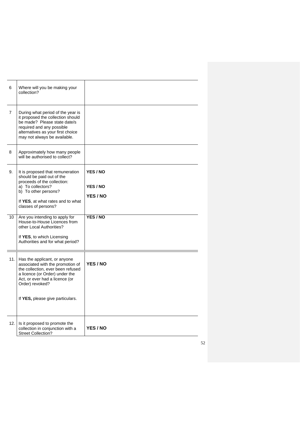| 6              | Where will you be making your<br>collection?                                                                                                                                                                                                                                                                                                                          |                                              |
|----------------|-----------------------------------------------------------------------------------------------------------------------------------------------------------------------------------------------------------------------------------------------------------------------------------------------------------------------------------------------------------------------|----------------------------------------------|
| $\overline{7}$ | During what period of the year is<br>it proposed the collection should<br>be made? Please state date/s<br>required and any possible<br>alternatives as your first choice<br>may not always be available.                                                                                                                                                              |                                              |
| 8              | Approximately how many people<br>will be authorised to collect?                                                                                                                                                                                                                                                                                                       |                                              |
| 9.<br>10       | It is proposed that remuneration<br>should be paid out of the<br>proceeds of the collection:<br>a) To collectors?<br>b) To other persons?<br>If YES, at what rates and to what<br>classes of persons?<br>Are you intending to apply for<br>House-to-House Licences from<br>other Local Authorities?<br>If YES, to which Licensing<br>Authorities and for what period? | YES / NO<br>YES / NO<br>YES / NO<br>YES / NO |
| 11.            | Has the applicant, or anyone<br>associated with the promotion of<br>the collection, ever been refused<br>a licence (or Order) under the<br>Act, or ever had a licence (or<br>Order) revoked?<br>If YES, please give particulars.                                                                                                                                      | YES / NO                                     |
| 12.            | Is it proposed to promote the<br>collection in conjunction with a<br><b>Street Collection?</b>                                                                                                                                                                                                                                                                        | YES / NO                                     |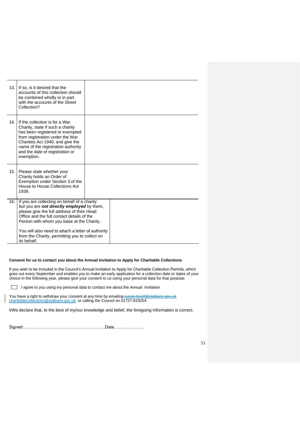| 13.             | If so, is it desired that the<br>accounts of this collection should<br>be combined wholly or in part<br>with the accounts of the Street<br>Collection?                                                                                                                                                                                                              |  |
|-----------------|---------------------------------------------------------------------------------------------------------------------------------------------------------------------------------------------------------------------------------------------------------------------------------------------------------------------------------------------------------------------|--|
| 14 <sub>1</sub> | If the collection is for a War<br>Charity, state if such a charity<br>has been registered or exempted<br>from registration under the War<br>Charities Act 1940, and give the<br>name of the registration authority<br>and the date of registration or<br>exemption.                                                                                                 |  |
| 15.             | Please state whether your<br>Charity holds an Order of<br>Exemption under Section 3 of the<br>House to House Collections Act<br>1939.                                                                                                                                                                                                                               |  |
| 16.             | If you are collecting on behalf of a charity<br>but you are <b>not directly employed</b> by them,<br>please give the full address of their Head<br>Office and the full contact details of the<br>Person with whom you liaise at the Charity.<br>You will also need to attach a letter of authority<br>from the Charity, permitting you to collect on<br>its behalf. |  |

### **Consent for us to contact you about the Annual Invitation to Apply for Charitable Collections**

If you wish to be included in the Council's Annual Invitation to Apply for Charitable Collection Permits, which goes out every September and enables you to make an early application for a collection date or dates of your choice in the following year, please give your consent to us using your personal data for that purpose:

I agree to you using my personal data to contact me about the Annual Invitation

You have a right to withdraw your consent at any time by emailing-<del>susan.lovell@stalbans.gov.uk</del> charitablecollections@stalbans.gov.uk or calling the Council on 01727-819254.

I/We declare that, to the best of my/our knowledge and belief, the foregoing information is correct.

Signed:…………………………………………………Date…………………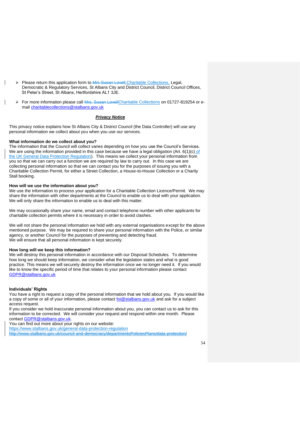- Please return this application form to Mrs Susan Lovell, Charitable Collections, Legal, Democratic & Regulatory Services, St Albans City and District Council, District Council Offices, St Peter's Street, St Albans, Hertfordshire AL1 3JE.
- ➢ For more information please call Mrs. Susan LovellCharitable Collections on 01727-819254 or email [charitablecollections@stalbans.gov.uk](mailto:charitablecollections@stalbans.gov.uk)

### *Privacy Notice*

This privacy notice explains how St Albans City & District Council (the Data Controller) will use any personal information we collect about you when you use our services.

### **What information do we collect about you?**

The information that the Council will collect varies depending on how you use the Council's Services. We are using the information provided in this case because we have a legal obligation (Art.  $6(1)(c)$  of the UK General Data Protection Regulation). This means we collect your personal information from you so that we can carry out a function we are required by law to carry out. In this case we are collecting personal information so that we can contact you for the purposes of issuing you with a Charitable Collection Permit, for either a Street Collection, a House-to-House Collection or a Charity Stall booking.

### **How will we use the information about you?**

We use the information to process your application for a Charitable Collection Licence/Permit. We may share the information with other departments at the Council to enable us to deal with your application. We will only share the information to enable us to deal with this matter.

We may occasionally share your name, email and contact telephone number with other applicants for charitable collection permits where it is necessary in order to avoid clashes.

We will not share the personal information we hold with any external organisations except for the above mentioned purpose. We may be required to share your personal information with the Police, or similar agency, or another Council for the purposes of preventing and detecting fraud. We will ensure that all personal information is kept securely.

### **How long will we keep this information?**

We will destroy this personal information in accordance with our Disposal Schedules. To determine how long we should keep information, we consider what the legislation states and what is good practice. This means we will securely destroy the information once we no longer need it. If you would like to know the specific period of time that relates to your personal information please contact [GDPR@stalbans.gov.uk](mailto:GDPR@stalbans.gov.uk)

### **Individuals' Rights**

You have a right to request a copy of the personal information that we hold about you. If you would like a copy of some or all of your information, please contact [foi@stalbans.gov.uk](mailto:foi@stalbans.gov.uk) and ask for a subject access request.

If you consider we hold inaccurate personal information about you, you can contact us to ask for this information to be corrected. We will consider your request and respond within one month. Please contact [GDPR@stalbans.gov.uk.](mailto:GDPR@stalbans.gov.uk)

You can find out more about your rights on our website:

<https://www.stalbans.gov.uk/general-data-protection-regulation>

http://www.stalbans.gov.uk/council-and-democracy/departmentsPoliciesPlans/data-protection/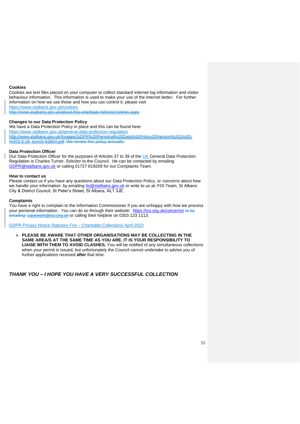### **Cookies**

Cookies are text files placed on your computer to collect standard internet log information and visitor behaviour information. This information is used to make your use of the internet better. For further information on how we use these and how you can control it, please visit <https://www.stalbans.gov.uk/cookies> http://www.stalbans.gov.uk/about-this-site/legal-notices/cookies.aspx

# **Changes to our Data Protection Policy**

We have a Data Protection Policy in place and this can be found here: <https://www.stalbans.gov.uk/general-data-protection-regulation> http://www.stalbans.gov.uk/Images/GDPR%20Personal%20Data%20Policy20Version%201%20- %202.3.18\_tcm15-63804.pdf We review this policy annually.

### **Data Protection Officer**

Our Data Protection Officer for the purposes of Articles 37 to 39 of the UK General Data Protection Regulation is Charles Turner, Solicitor to the Council. He can be contacted by emailing [GDPR@stalbans.gov.uk](mailto:GDPR@stalbans.gov.uk) or calling 01727 819209 for our Complaints Team.

#### **How to contact us**

Please contact us if you have any questions about our Data Protection Policy, or concerns about how we handle your information: by emailing *foi@stalbans.gov.uk* or write to us at: FOI Team, St Albans City & District Council, St Peter's Street, St Albans, AL1 3JE.

### **Complaints**

You have a right to complain to the Information Commissioner if you are unhappy with how we process your personal information. You can do so through their website: <https://ico.org.uk/concerns/> or by emailing: casework@ico.org.uk</u> or calling their helpline on 0303 123 1113.

GDPR Privacy Notice Statutory Fns – Charitable Collections April 2022

➢ **PLEASE BE AWARE THAT OTHER ORGANISATIONS MAY BE COLLECTING IN THE SAME AREA/S AT THE SAME TIME AS YOU ARE. IT IS YOUR RESPONSIBILITY TO LIAISE WITH THEM TO AVOID CLASHES.** You will be notified of any simultaneous collections when your permit is issued, but unfortunately the Council cannot undertake to advise you of further applications received **after** that time.

# *THANK YOU – I HOPE YOU HAVE A VERY SUCCESSFUL COLLECTION*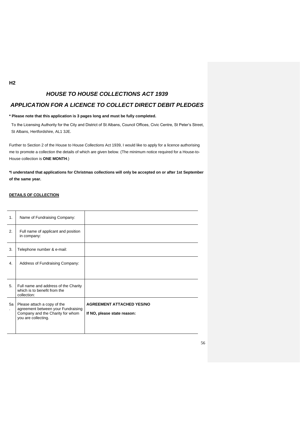### **H2**

# *HOUSE TO HOUSE COLLECTIONS ACT 1939*

# *APPLICATION FOR A LICENCE TO COLLECT DIRECT DEBIT PLEDGES*

### **\* Please note that this application is 3 pages long and must be fully completed.**

To the Licensing Authority for the City and District of St Albans, Council Offices, Civic Centre, St Peter's Street, St Albans, Hertfordshire, AL1 3JE.

Further to Section 2 of the House to House Collections Act 1939, I would like to apply for a licence authorising me to promote a collection the details of which are given below. (The minimum notice required for a House-to-House collection is **ONE MONTH**.)

**\*I understand that applications for Christmas collections will only be accepted on or after 1st September of the same year.**

### **DETAILS OF COLLECTION**

| $\mathbf{1}$ . | Name of Fundraising Company:                                                                                                 |                                                                 |
|----------------|------------------------------------------------------------------------------------------------------------------------------|-----------------------------------------------------------------|
| 2.             | Full name of applicant and position<br>in company:                                                                           |                                                                 |
| 3.             | Telephone number & e-mail:                                                                                                   |                                                                 |
| 4.             | Address of Fundraising Company:                                                                                              |                                                                 |
| 5.             | Full name and address of the Charity<br>which is to benefit from the<br>collection:                                          |                                                                 |
| 5a             | Please attach a copy of the<br>agreement between your Fundraising<br>Company and the Charity for whom<br>you are collecting. | <b>AGREEMENT ATTACHED YES/NO</b><br>If NO, please state reason: |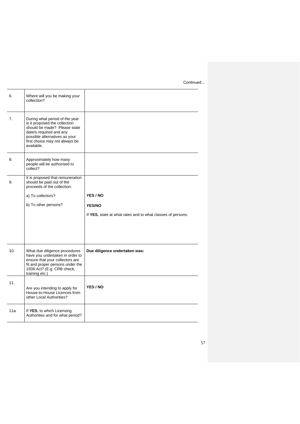Continued…

| 6.   | Where will you be making your<br>collection?                                                                                                                                                                |                                                             |
|------|-------------------------------------------------------------------------------------------------------------------------------------------------------------------------------------------------------------|-------------------------------------------------------------|
| 7.   | During what period of the year<br>is it proposed the collection<br>should be made? Please state<br>date/s required and any<br>possible alternatives as your<br>first choice may not always be<br>available. |                                                             |
| 8.   | Approximately how many<br>people will be authorised to<br>collect?                                                                                                                                          |                                                             |
| 9.   | It is proposed that remuneration<br>should be paid out of the<br>proceeds of the collection:                                                                                                                |                                                             |
|      | a) To collectors?                                                                                                                                                                                           | YES / NO                                                    |
|      | b) To other persons?                                                                                                                                                                                        | <b>YES/NO</b>                                               |
|      |                                                                                                                                                                                                             | If YES, state at what rates and to what classes of persons: |
| 10.  | What due diligence procedures<br>have you undertaken in order to<br>ensure that your collectors are<br>fit and proper persons under the<br>1939 Act? (E.g. CRB check,<br>training etc.)                     | Due diligence undertaken was:                               |
| 11.  | Are you intending to apply for<br>House-to-House Licences from<br>other Local Authorities?                                                                                                                  | YES / NO                                                    |
| 11a. | If YES, to which Licensing<br>Authorities and for what period?                                                                                                                                              |                                                             |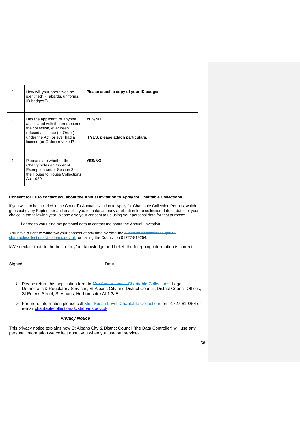| 12. | How will your operatives be<br>identified? (Tabards, uniforms,<br>ID badges?)                                                                                                                | Please attach a copy of your ID badge:              |
|-----|----------------------------------------------------------------------------------------------------------------------------------------------------------------------------------------------|-----------------------------------------------------|
| 13. | Has the applicant, or anyone<br>associated with the promotion of<br>the collection, ever been<br>refused a licence (or Order)<br>under the Act, or ever had a<br>licence (or Order) revoked? | <b>YES/NO</b><br>If YES, please attach particulars. |
| 14. | Please state whether the<br>Charity holds an Order of<br>Exemption under Section 3 of<br>the House to House Collections<br>Act 1939.                                                         | <b>YES/NO</b>                                       |

### **Consent for us to contact you about the Annual Invitation to Apply for Charitable Collections**

If you wish to be included in the Council's Annual Invitation to Apply for Charitable Collection Permits, which goes out every September and enables you to make an early application for a collection date or dates of your choice in the following year, please give your consent to us using your personal data for that purpose:

I agree to you using my personal data to contact me about the Annual Invitation

You have a right to withdraw your consent at any time by emailing-susan.lovell@stalbans.gov.uk charitablecollections@stalbans.gov.uk or calling the Council on 01727-819254.

I/We declare that, to the best of my/our knowledge and belief, the foregoing information is correct.

Signed:…………………………………………………Date…………………

- ➢ Please return this application form to Mrs Susan Lovell, Charitable Collections, Legal, Democratic & Regulatory Services, St Albans City and District Council, District Council Offices, St Peter's Street, St Albans, Hertfordshire AL1 3JE.
- ➢ For more information please call Mrs. Susan Lovell Charitable Collections on 01727-819254 or e-mail [charitablecollections@stalbans.gov.uk](mailto:charitablecollections@stalbans.gov.uk)

# . *Privacy Notice*

This privacy notice explains how St Albans City & District Council (the Data Controller) will use any personal information we collect about you when you use our services.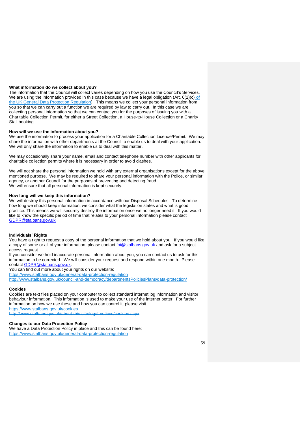### **What information do we collect about you?**

The information that the Council will collect varies depending on how you use the Council's Services. We are using the information provided in this case because we have a legal obligation (Art.  $6(1)(c)$  of the UK General Data Protection Regulation). This means we collect your personal information from you so that we can carry out a function we are required by law to carry out. In this case we are collecting personal information so that we can contact you for the purposes of issuing you with a Charitable Collection Permit, for either a Street Collection, a House-to-House Collection or a Charity Stall booking.

#### **How will we use the information about you?**

We use the information to process your application for a Charitable Collection Licence/Permit. We may share the information with other departments at the Council to enable us to deal with your application. We will only share the information to enable us to deal with this matter.

We may occasionally share your name, email and contact telephone number with other applicants for charitable collection permits where it is necessary in order to avoid clashes.

We will not share the personal information we hold with any external organisations except for the above mentioned purpose. We may be required to share your personal information with the Police, or similar agency, or another Council for the purposes of preventing and detecting fraud. We will ensure that all personal information is kept securely.

## **How long will we keep this information?**

We will destroy this personal information in accordance with our Disposal Schedules. To determine how long we should keep information, we consider what the legislation states and what is good practice. This means we will securely destroy the information once we no longer need it. If you would like to know the specific period of time that relates to your personal information please contact [GDPR@stalbans.gov.uk](mailto:GDPR@stalbans.gov.uk)

### **Individuals' Rights**

You have a right to request a copy of the personal information that we hold about you. If you would like a copy of some or all of your information, please contact *foi@stalbans.gov.uk* and ask for a subject access request.

If you consider we hold inaccurate personal information about you, you can contact us to ask for this information to be corrected. We will consider your request and respond within one month. Please contact [GDPR@stalbans.gov.uk.](mailto:GDPR@stalbans.gov.uk)

You can find out more about your rights on our website:

<https://www.stalbans.gov.uk/general-data-protection-regulation>

http://www.stalbans.gov.uk/council-and-democracy/departmentsPoliciesPlans/data-protection/

#### **Cookies**

Cookies are text files placed on your computer to collect standard internet log information and visitor behaviour information. This information is used to make your use of the internet better. For further information on how we use these and how you can control it, please visit <https://www.stalbans.gov.uk/cookies>

http://www.stalbans.gov.uk/about-this-site/legal-notices/cookies

### **Changes to our Data Protection Policy**

We have a Data Protection Policy in place and this can be found here: <https://www.stalbans.gov.uk/general-data-protection-regulation>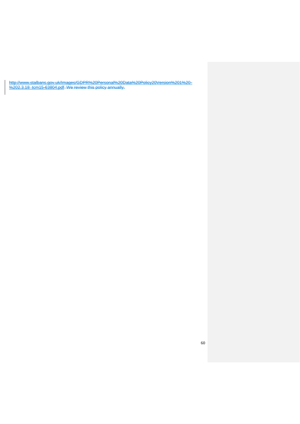http://www.stalbans.gov.uk/Images/GDPR%20Personal%20Data%20Policy20Version%201%20- %202.3.18\_tcm15-63804.pdf We review this policy annually.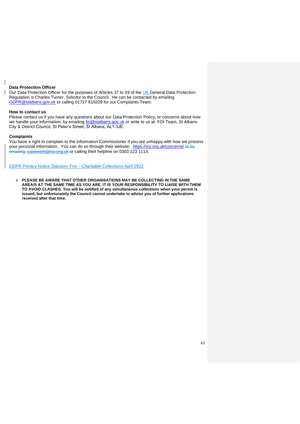#### **Data Protection Officer**

Our Data Protection Officer for the purposes of Articles 37 to 39 of the UK General Data Protection Regulation is Charles Turner, Solicitor to the Council. He can be contacted by emailing [GDPR@stalbans.gov.uk](mailto:GDPR@stalbans.gov.uk) or calling 01727 819209 for our Complaints Team.

### **How to contact us**

Please contact us if you have any questions about our Data Protection Policy, or concerns about how we handle your information: by emailing *foi@stalbans.gov.uk* or write to us at: FOI Team, St Albans City & District Council, St Peter's Street, St Albans, AL1 3JE.

#### **Complaints**

You have a right to complain to the Information Commissioner if you are unhappy with how we process your personal information. You can do so through their website: <https://ico.org.uk/concerns/> or by emailing: casework@ico.org.uk or calling their helpline on 0303 123 1113.

GDPR Privacy Notice Statutory Fns – Charitable Collections April 2022

➢ **PLEASE BE AWARE THAT OTHER ORGANISATIONS MAY BE COLLECTING IN THE SAME AREA/S AT THE SAME TIME AS YOU ARE. IT IS YOUR RESPONSIBILITY TO LIAISE WITH THEM TO AVOID CLASHES. You will be notified of any simultaneous collections when your permit is issued, but unfortunately the Council cannot undertake to advise you of further applications received after that time.**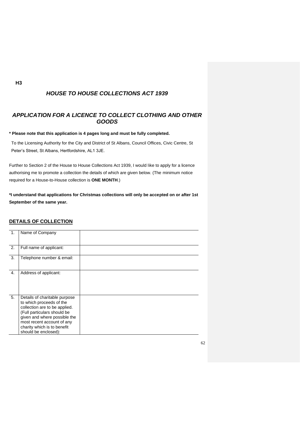# *HOUSE TO HOUSE COLLECTIONS ACT 1939*

# *APPLICATION FOR A LICENCE TO COLLECT CLOTHING AND OTHER GOODS*

**\* Please note that this application is 4 pages long and must be fully completed.**

To the Licensing Authority for the City and District of St Albans, Council Offices, Civic Centre, St Peter's Street, St Albans, Hertfordshire, AL1 3JE.

Further to Section 2 of the House to House Collections Act 1939, I would like to apply for a licence authorising me to promote a collection the details of which are given below. (The minimum notice required for a House-to-House collection is **ONE MONTH**.)

**\*I understand that applications for Christmas collections will only be accepted on or after 1st September of the same year.**

# **DETAILS OF COLLECTION**

| 1 <sub>1</sub> | Name of Company                                                                                                                                                                                                                                |  |
|----------------|------------------------------------------------------------------------------------------------------------------------------------------------------------------------------------------------------------------------------------------------|--|
|                |                                                                                                                                                                                                                                                |  |
| 2.             | Full name of applicant:                                                                                                                                                                                                                        |  |
| 3.             | Telephone number & email:                                                                                                                                                                                                                      |  |
| 4.             | Address of applicant:                                                                                                                                                                                                                          |  |
| 5.             | Details of charitable purpose<br>to which proceeds of the<br>collection are to be applied.<br>(Full particulars should be<br>given and where possible the<br>most recent account of any<br>charity which is to benefit<br>should be enclosed): |  |

**H3**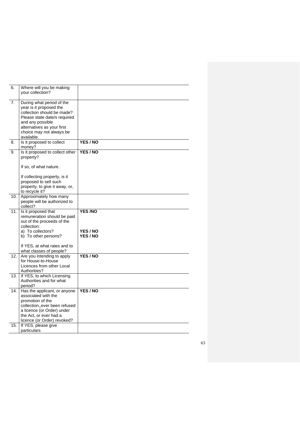| 6.  | Where will you be making<br>your collection?           |               |
|-----|--------------------------------------------------------|---------------|
| 7.  | During what period of the                              |               |
|     | year is it proposed the                                |               |
|     | collection should be made?                             |               |
|     | Please state date/s required                           |               |
|     | and any possible                                       |               |
|     | alternatives as your first                             |               |
|     | choice may not always be                               |               |
|     | available.                                             |               |
| 8.  | Is it proposed to collect<br>money?                    | YES / NO      |
| 9.  | Is it proposed to collect other                        | YES / NO      |
|     | property?                                              |               |
|     |                                                        |               |
|     | If so, of what nature.                                 |               |
|     |                                                        |               |
|     | If collecting property, is it<br>proposed to sell such |               |
|     | property, to give it away, or,                         |               |
|     | to recycle it?                                         |               |
| 10. | Approximately how many                                 |               |
|     | people will be authorized to                           |               |
|     | collect?                                               |               |
| 11. | Is it proposed that                                    | <b>YES/NO</b> |
|     | remuneration should be paid                            |               |
|     | out of the proceeds of the                             |               |
|     | collection:                                            |               |
|     | a) To collectors?                                      | YES / NO      |
|     | b) To other persons?                                   | YES / NO      |
|     | If YES, at what rates and to                           |               |
|     |                                                        |               |
|     | what classes of people?                                |               |
| 12. | Are you intending to apply                             | YES / NO      |
|     | for House-to-House                                     |               |
|     | Licences from other Local                              |               |
|     | Authorities?                                           |               |
| 13. | If YES, to which Licensing                             |               |
|     | Authorities and for what                               |               |
|     | period?                                                |               |
| 14. | Has the applicant, or anyone                           | YES / NO      |
|     | associated with the<br>promotion of the                |               |
|     | collection,, ever been refused                         |               |
|     | a licence (or Order) under                             |               |
|     | the Act, or ever had a                                 |               |
|     | licence (or Order) revoked?                            |               |
| 15. | If YES, please give<br>particulars                     |               |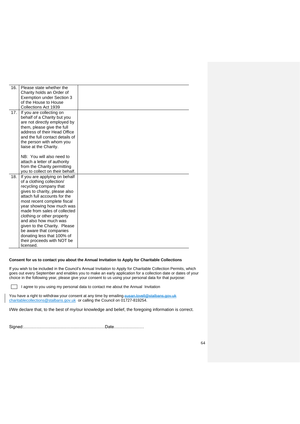| 16. | Please state whether the         |  |
|-----|----------------------------------|--|
|     | Charity holds an Order of        |  |
|     | <b>Exemption under Section 3</b> |  |
|     | of the House to House            |  |
|     | Collections Act 1939             |  |
| 17. | If you are collecting on         |  |
|     | behalf of a Charity but you      |  |
|     | are not directly employed by     |  |
|     | them, please give the full       |  |
|     | address of their Head Office     |  |
|     | and the full contact details of  |  |
|     | the person with whom you         |  |
|     | liaise at the Charity.           |  |
|     |                                  |  |
|     | NB: You will also need to        |  |
|     | attach a letter of authority     |  |
|     | from the Charity permitting      |  |
|     | you to collect on their behalf.  |  |
| 18. | If you are applying on behalf    |  |
|     | of a clothing collection/        |  |
|     | recycling company that           |  |
|     | gives to charity, please also    |  |
|     | attach full accounts for the     |  |
|     | most recent complete fiscal      |  |
|     | year showing how much was        |  |
|     | made from sales of collected     |  |
|     | clothing or other property       |  |
|     | and also how much was            |  |
|     | given to the Charity. Please     |  |
|     | be aware that companies          |  |
|     | donating less that 100% of       |  |
|     | their proceeds with NOT be       |  |
|     | licensed.                        |  |

### **Consent for us to contact you about the Annual Invitation to Apply for Charitable Collections**

If you wish to be included in the Council's Annual Invitation to Apply for Charitable Collection Permits, which goes out every September and enables you to make an early application for a collection date or dates of your choice in the following year, please give your consent to us using your personal data for that purpose:

I agree to you using my personal data to contact me about the Annual Invitation

You have a right to withdraw your consent at any time by emailing-<del>susan.lovell@stalbans.gov.uk</del> charitablecollections@stalbans.gov.uk or calling the Council on 01727-819254.

I/We declare that, to the best of my/our knowledge and belief, the foregoing information is correct.

Signed:…………………………………………………Date…………………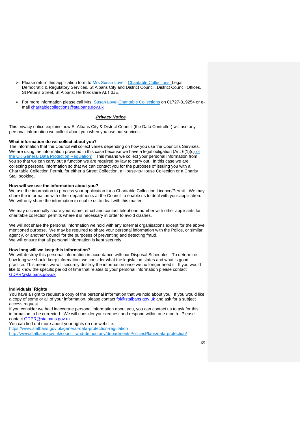- Please return this application form to Mrs Susan Lovell, Charitable Collections, Legal, Democratic & Regulatory Services, St Albans City and District Council, District Council Offices, St Peter's Street, St Albans, Hertfordshire AL1 3JE.
- ▶ For more information please call Mrs. Susan LovellCharitable Collections on 01727-819254 or email [charitablecollections@stalbans.gov.uk](mailto:charitablecollections@stalbans.gov.uk)

### .*Privacy Notice*

This privacy notice explains how St Albans City & District Council (the Data Controller) will use any personal information we collect about you when you use our services.

### **What information do we collect about you?**

The information that the Council will collect varies depending on how you use the Council's Services. We are using the information provided in this case because we have a legal obligation (Art.  $6(1)(c)$  of the UK General Data Protection Regulation). This means we collect your personal information from you so that we can carry out a function we are required by law to carry out. In this case we are collecting personal information so that we can contact you for the purposes of issuing you with a Charitable Collection Permit, for either a Street Collection, a House-to-House Collection or a Charity Stall booking.

### **How will we use the information about you?**

We use the information to process your application for a Charitable Collection Licence/Permit. We may share the information with other departments at the Council to enable us to deal with your application. We will only share the information to enable us to deal with this matter.

We may occasionally share your name, email and contact telephone number with other applicants for charitable collection permits where it is necessary in order to avoid clashes.

We will not share the personal information we hold with any external organisations except for the above mentioned purpose. We may be required to share your personal information with the Police, or similar agency, or another Council for the purposes of preventing and detecting fraud. We will ensure that all personal information is kept securely.

### **How long will we keep this information?**

We will destroy this personal information in accordance with our Disposal Schedules. To determine how long we should keep information, we consider what the legislation states and what is good practice. This means we will securely destroy the information once we no longer need it. If you would like to know the specific period of time that relates to your personal information please contact [GDPR@stalbans.gov.uk](mailto:GDPR@stalbans.gov.uk)

### **Individuals' Rights**

You have a right to request a copy of the personal information that we hold about you. If you would like a copy of some or all of your information, please contact [foi@stalbans.gov.uk](mailto:foi@stalbans.gov.uk) and ask for a subject access request.

If you consider we hold inaccurate personal information about you, you can contact us to ask for this information to be corrected. We will consider your request and respond within one month. Please contact [GDPR@stalbans.gov.uk.](mailto:GDPR@stalbans.gov.uk)

You can find out more about your rights on our website:

<https://www.stalbans.gov.uk/general-data-protection-regulation>

http://www.stalbans.gov.uk/council-and-democracy/departmentsPoliciesPlans/data-protection/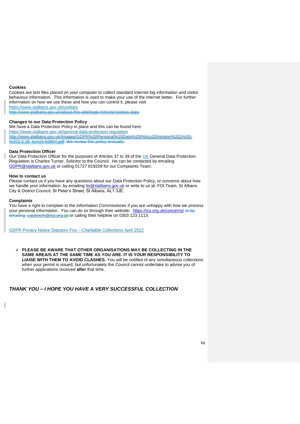#### **Cookies**

Cookies are text files placed on your computer to collect standard internet log information and visitor behaviour information. This information is used to make your use of the internet better. For further information on how we use these and how you can control it, please visit <https://www.stalbans.gov.uk/cookies>

http://www.stalbans.gov.uk/about-this-site/legal-notices/cookies.aspx

## **Changes to our Data Protection Policy**

We have a Data Protection Policy in place and this can be found here: <https://www.stalbans.gov.uk/general-data-protection-regulation> http://www.stalbans.gov.uk/Images/GDPR%20Personal%20Data%20Policy20Version%201%20- %202.3.18\_tcm15-63804.pdf We review this policy annually.

### **Data Protection Officer**

Our Data Protection Officer for the purposes of Articles 37 to 39 of the UK General Data Protection Regulation is Charles Turner, Solicitor to the Council. He can be contacted by emailing [GDPR@stalbans.gov.uk](mailto:GDPR@stalbans.gov.uk) or calling 01727 819209 for our Complaints Team.

#### **How to contact us**

Please contact us if you have any questions about our Data Protection Policy, or concerns about how we handle your information: by emailing *foi@stalbans.gov.uk* or write to us at: FOI Team, St Albans City & District Council, St Peter's Street, St Albans, AL1 3JE.

### **Complaints**

You have a right to complain to the Information Commissioner if you are unhappy with how we process your personal information. You can do so through their website: <https://ico.org.uk/concerns/> or by emailing: casework@ico.org.uk</u> or calling their helpline on 0303 123 1113.

GDPR Privacy Notice Statutory Fns – Charitable Collections April 2022

➢ **PLEASE BE AWARE THAT OTHER ORGANISATIONS MAY BE COLLECTING IN THE SAME AREA/S AT THE SAME TIME AS YOU ARE. IT IS YOUR RESPONSIBILITY TO LIAISE WITH THEM TO AVOID CLASHES.** You will be notified of any simultaneous collections when your permit is issued, but unfortunately the Council cannot undertake to advise you of further applications received **after** that time.

# *THANK YOU – I HOPE YOU HAVE A VERY SUCCESSFUL COLLECTION*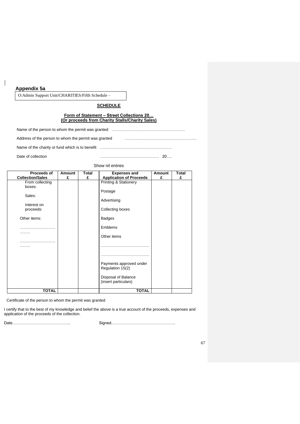# **Appendix 5a**

Street.<br>Street.

O:Admin Support Unit/CHARITIES/Fifth Schedule –

**SCHEDULE**

# **Form of Statement – Street Collections 20… (Or proceeds from Charity Stalls/Charity Sales)**

Name of the person to whom the permit was granted .……………………………………………….

Address of the person to whom the permit was granted must construct the person to whom the permit was granted

Name of the charity or fund which is to benefit ……………………………………………………………………………………

Date of collection **Example 20...** 20...

Show nil entries

| Proceeds of<br><b>Collection/Sales</b> | Amount<br>£ | Total | <b>Expenses and</b>              | Amount<br>£ | Total |
|----------------------------------------|-------------|-------|----------------------------------|-------------|-------|
|                                        |             | £     | <b>Application of Proceeds</b>   |             | £     |
| From collecting                        |             |       | <b>Printing &amp; Stationery</b> |             |       |
| boxes:                                 |             |       |                                  |             |       |
|                                        |             |       | Postage                          |             |       |
| Sales:                                 |             |       |                                  |             |       |
|                                        |             |       | Advertising                      |             |       |
| Interest on                            |             |       |                                  |             |       |
| proceeds:                              |             |       | Collecting boxes                 |             |       |
|                                        |             |       |                                  |             |       |
| Other items:                           |             |       | <b>Badges</b>                    |             |       |
|                                        |             |       |                                  |             |       |
| .                                      |             |       | <b>Emblems</b>                   |             |       |
| .                                      |             |       |                                  |             |       |
|                                        |             |       | Other items                      |             |       |
| .                                      |             |       |                                  |             |       |
|                                        |             |       |                                  |             |       |
|                                        |             |       |                                  |             |       |
|                                        |             |       |                                  |             |       |
|                                        |             |       |                                  |             |       |
|                                        |             |       | Payments approved under          |             |       |
|                                        |             |       | Regulation 15(2)                 |             |       |
|                                        |             |       |                                  |             |       |
|                                        |             |       | Disposal of Balance              |             |       |
|                                        |             |       | (insert particulars)             |             |       |
|                                        |             |       |                                  |             |       |
| <b>TOTAL</b>                           |             |       | <b>TOTAL</b>                     |             |       |
|                                        |             |       |                                  |             |       |

Certificate of the person to whom the permit was granted

I certify that to the best of my knowledge and belief the above is a true account of the proceeds, expenses and application of the proceeds of the collection.

Date……………………………………... Signed………………………………………….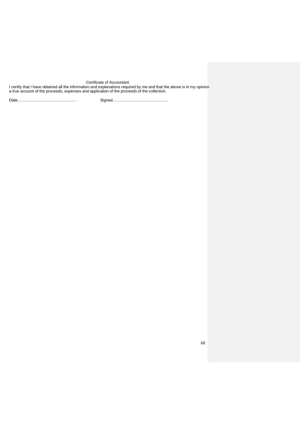Certificate of Accountant

I certify that I have obtained all the information and explanations required by me and that the above is in my opinion a true account of the proceeds, expenses and application of the proceeds of the collection.

Date……………………………………… Signed……………………………………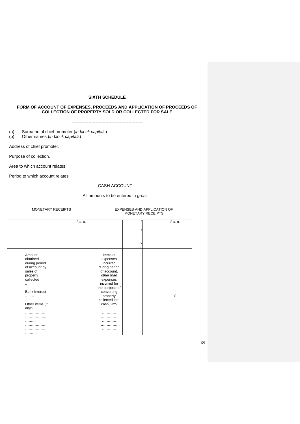## **SIXTH SCHEDULE**

## **FORM OF ACCOUNT OF EXPENSES, PROCEEDS AND APPLICATION OF PROCEEDS OF COLLECTION OF PROPERTY SOLD OR COLLECTED FOR SALE**

**--------------------------------------------------**

(a) Surname of chief promoter (*in block capitals*)

(b) Other names (*in block capitals*)

Address of chief promoter.

Purpose of collection.

Area to which account relates.

Period to which account relates.

# CASH ACCOUNT

All amounts to be entered in *gross*

| <b>MONETARY RECEIPTS</b> |           | <b>EXPENSES AND APPLICATION OF</b><br>MONETARY RECEIPTS |   |          |
|--------------------------|-----------|---------------------------------------------------------|---|----------|
|                          | $E$ s. d. |                                                         | f | $E$ s.d. |
|                          |           |                                                         |   |          |
|                          |           |                                                         |   |          |
| Amount                   |           | Items of                                                |   |          |
| obtained                 |           | expenses                                                |   |          |
| during period            |           | incurred                                                |   |          |
| of account by            |           | during period                                           |   |          |
| sales of                 |           | of account,                                             |   |          |
| property                 |           | other than                                              |   |          |
| collected                |           | expenses                                                |   |          |
| $\ddotsc$                |           | incurred for                                            |   |          |
|                          |           | the purpose of                                          |   |          |
| <b>Bank Interest</b>     |           | converting                                              |   |          |
|                          |           | property                                                |   | £        |
|                          |           | collected into                                          |   |          |
| Other items (if          |           | cash, viz:-                                             |   |          |
| any:-                    |           |                                                         |   |          |
|                          |           | .                                                       |   |          |
| .                        |           |                                                         |   |          |
|                          |           |                                                         |   |          |
|                          |           |                                                         |   |          |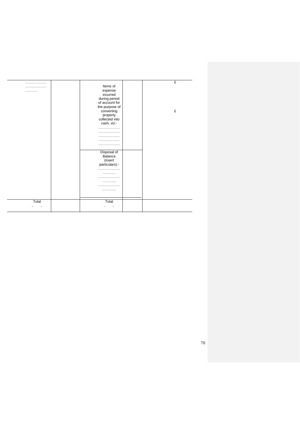|       |                | £ |
|-------|----------------|---|
|       | Items of       |   |
| .     | expense        |   |
|       | incurred       |   |
|       | during period  |   |
|       | of account for |   |
|       | the purpose of |   |
|       | converting     | £ |
|       | property       |   |
|       | collected into |   |
|       | cash, viz:-    |   |
|       | .              |   |
|       |                |   |
|       |                |   |
|       |                |   |
|       |                |   |
|       |                |   |
|       | Disposal of    |   |
|       | Balance        |   |
|       | (insert        |   |
|       | particulars):- |   |
|       |                |   |
|       | .              |   |
|       |                |   |
|       |                |   |
|       |                |   |
|       | .              |   |
|       |                |   |
|       |                |   |
| Total | Total          |   |
| .,    | $\cdot$ .      |   |
|       |                |   |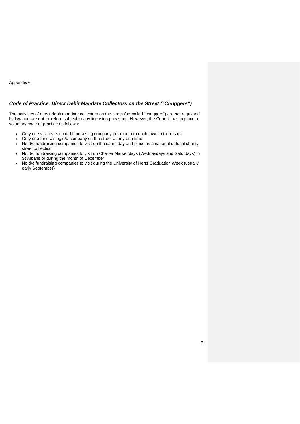Appendix 6

# *Code of Practice: Direct Debit Mandate Collectors on the Street ("Chuggers")*

The activities of direct debit mandate collectors on the street (so-called "chuggers") are not regulated by law and are not therefore subject to any licensing provision. However, the Council has in place a voluntary code of practice as follows:

- Only one visit by each d/d fundraising company per month to each town in the district
- Only one fundraising d/d company on the street at any one time
- No d/d fundraising companies to visit on the same day and place as a national or local charity street collection
- No d/d fundraising companies to visit on Charter Market days (Wednesdays and Saturdays) in St Albans or during the month of December
- No d/d fundraising companies to visit during the University of Herts Graduation Week (usually early September)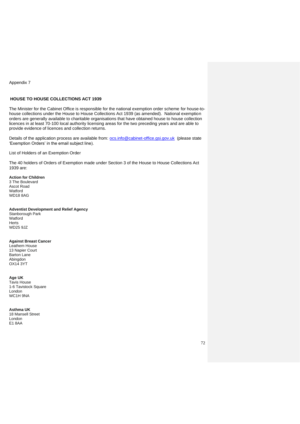### Appendix 7

### **HOUSE TO HOUSE COLLECTIONS ACT 1939**

The Minister for the Cabinet Office is responsible for the national exemption order scheme for house-tohouse collections under the House to House Collections Act 1939 (as amended). National exemption orders are generally available to charitable organisations that have obtained house to house collection licences in at least 70-100 local authority licensing areas for the two preceding years and are able to provide evidence of licences and collection returns.

Details of the application process are available from: [ocs.info@cabinet-office.gsi.gov.uk](mailto:ocs.info@cabinet-office.gsi.gov.uk) (please state 'Exemption Orders' in the email subject line).

List of Holders of an Exemption Order

The 40 holders of Orders of Exemption made under Section 3 of the House to House Collections Act 1939 are:

# **Action for Children**

3 The Boulevard Ascot Road **Watford** WD18 8AG

### **Adventist Development and Relief Agency**

Stanborough Park Watford **Herts** WD25 9JZ

### **Against Breast Cancer**

Leathem House 13 Napier Court Barton Lane Abingdon OX14 3YT

### **Age UK**

Tavis House 1-6 Tavistock Square London WC1H 9NA

### **Asthma UK**

18 Mansell Street London E1 8AA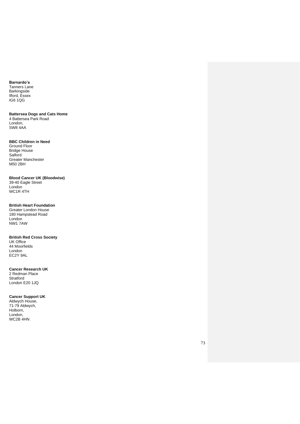#### **Barnardo's**

Tanners Lane Barkingside Ilford, Essex IG6 1QG

#### **Battersea Dogs and Cats Home** 4 Battersea Park Road

London, SW8 4AA

## **BBC Children in Need**

Ground Floor Bridge House **Salford** Greater Manchester M50 2BH

### **Blood Cancer UK (Bloodwise)**

39 -40 Eagle Street London WC1R 4TH

#### **British Heart Foundation**

Greater London House 180 Hampstead Road London NW1 7AW

## **British Red Cross Society**

UK Office 44 Moorfields London EC2Y 9AL

## **Cancer Research UK**

2 Redman Place Stratford London E20 1JQ

### **Cancer Support UK**

Aldwych House, 71 -79 Aldwych, Holborn, London, WC2B 4HN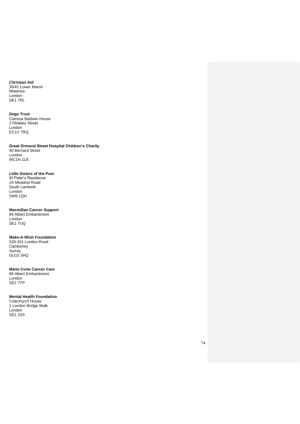**Christian Aid** 35/41 Lower Marsh Waterloo London SE1 7RL

**Dogs Trust** Clarissa Baldwin House 17Wakley Street London EC1V 7RQ

**Great Ormond Street Hospital Children's Charity** 40 Bernard Street London WC1N 1LE

## **Little Sisters of the Poor**

St Peter's Residence 2A Meadow Road South Lambeth London SW8 1QH

### **Macmillan Cancer Support**

89 Albert Embankment London SE1 7UQ

### **Make-A-Wish Foundation**

329-331 London Road Camberley Surrey GU15 3HQ

### **Marie Curie Cancer Care**

89 Albert Embankment London SE1 7TP

### **Mental Health Foundation**

Colechurch House 1 London Bridge Walk London SE1 2SX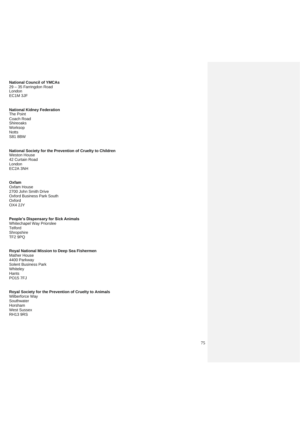# **National Council of YMCAs**

29 – 35 Farringdon Road London EC1M 3JF

### **National Kidney Federation**

The Point Coach Road Shireoaks Worksop **Notts** S81 8BW

#### **National Society for the Prevention of Cruelty to Children** Weston House 42 Curtain Road

London EC2A 3NH

#### **Oxfam**

Oxfam House 2700 John Smith Drive Oxford Business Park South Oxford OX4 2JY

#### **People's Dispensary for Sick Animals**

Whitechapel Way Priorslee Telford Shropshire TF2 9PQ

### **Royal National Mission to Deep Sea Fishermen**

Mather House 4400 Parkway Solent Business Park **Whiteley** Hants PO15 7FJ

### **Royal Society for the Prevention of Cruelty to Animals**

Wilberforce Way Southwater Horsham West Sussex RH13 9RS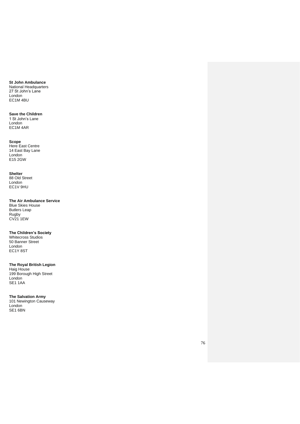#### **St John Ambulance**

National Headquarters 27 St John's Lane London EC1M 4BU

## **Save the Children**

1 St John's Lane London EC1M 4AR

#### **Scope**

Here East Centre 14 East Bay Lane London E15 2GW

## **Shelter**

88 Old Street London EC1V 9HU

#### **The Air Ambulance Service**

Blue Skies House Butlers Leap Rugby CV21 1EW

#### **The Children's Society**

Whitecross Studios 50 Banner Street London EC<sub>1</sub>Y<sub>8</sub>ST

#### **The Royal British Legion**

Haig House 199 Borough High Street London SE1 1AA

### **The Salvation Army**

101 Newington Causeway London SE1 6BN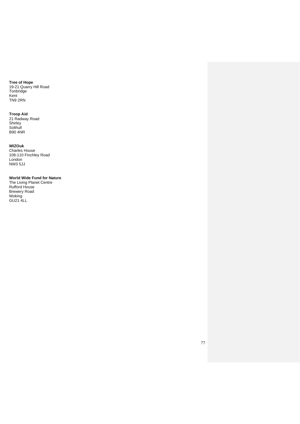**Tree of Hope** 19-21 Quarry Hill Road Tonbridge Kent

### **Troop Aid**

TN9 2RN

21 Radway Road Shirley Solihull B90 4NR

#### **WIZOuk**

Charles House 108-110 Finchley Road London NW3 5JJ

#### **World Wide Fund for Nature**

The Living Planet Centre Rufford House Brewery Road Woking GU21 4LL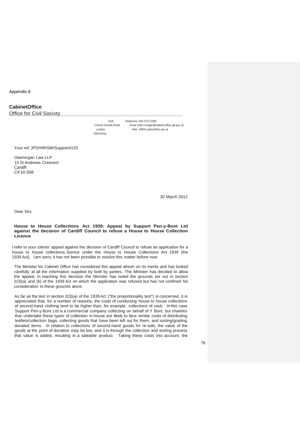Appendix 8

## **CabinetOffice**

Office for Civil Society

London SW1A2HQ

4/16 Telephone 020 7271 6298<br>1 Horse Guards Road Email helen.morgan@c Email helen.morgan@cabinet-office.gsi.gov.uk Web WWIN.cabinetoffice .gov.uk

Your ref: JPD/HRISW/Support4133

Glamorgan Law LLP 15 St Andrews Crescent **Cardiff** CF10 308

30 March 2012

Dear Sirs

#### **House to House Collections Act 1939: Appeal by Support Pen-y-Bont Ltd against the decision of Cardiff Council to refuse a House to House Collection Licence**

I refer to your clients' appeal against the decision of Cardiff Council to refuse an application for a house to house collections licence under the House to House Collections Act 1939 (the 1939 Act). Iam sorry it has not been possible to resolve this matter before now.

The Minister for Cabinet Office has considered this appeal afresh on its merits and has looked carefully at all the information supplied by both by parties. The Minister has decided to allow the appeal. In reaching this decision the Minister has noted the grounds set out in section 2(3)(a) and (b) of the 1939 Act on which the application was refused but has not confined his consideration to these grounds alone.

As far as the test in section 2(3)(a) of the 1939 Act ("the proportionality test") is concerned, it is appreciated that, for a number of reasons, the costs of conducting house to house collections of second-hand clothing tend to be higher than, for example, collections of cash. In this case Support Pen-y-Bont Ltd is a commercial company collecting on behalf of Y Bont, but charities that undertake these types of collection in-house are likely to face similar costs of distributing leaflets/collection bags, collecting goods that have been left out for them, and sorting/grading donated items. In relation to collections of second-hand goods for re-sale, the value of the goods at the point of donation may be low, and it is through the collection and sorting process that value is added, resulting in a saleable product. Taking these costs into account, the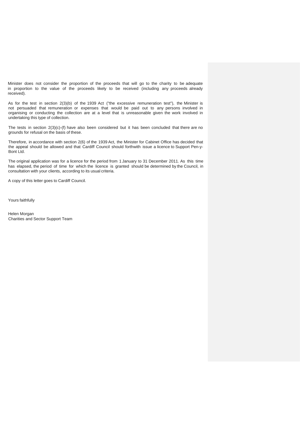Minister does not consider the proportion of the proceeds that will go to the charity to be adequate in proportion to the value of the proceeds likely to be received (including any proceeds already received).

As for the test in section 2(3)(b) of the 1939 Act ("the excessive remuneration test"), the Minister is not persuaded that remuneration or expenses that would be paid out to any persons involved in organising or conducting the collection are at a level that is unreasonable given the work involved in undertaking this type of collection.

The tests in section 2(3)(c)-(f) have also been considered but it has been concluded that there are no grounds for refusal on the basis of these.

Therefore, in accordance with section 2(6) of the 1939 Act, the Minister for Cabinet Office has decided that the appeal should be allowed and that Cardiff Council should forthwith issue a licence to Support Pen-y-Bont Ltd.

The original application was for a licence for the period from 1 January to 31 December 2011. As this time has elapsed, the period of time for which the licence is granted should be determined by the Council, in consultation with your clients, according to its usual criteria.

A copy of this letter goes to Cardiff Council.

Yours faithfully

Helen Morgan Charities and Sector Support Team